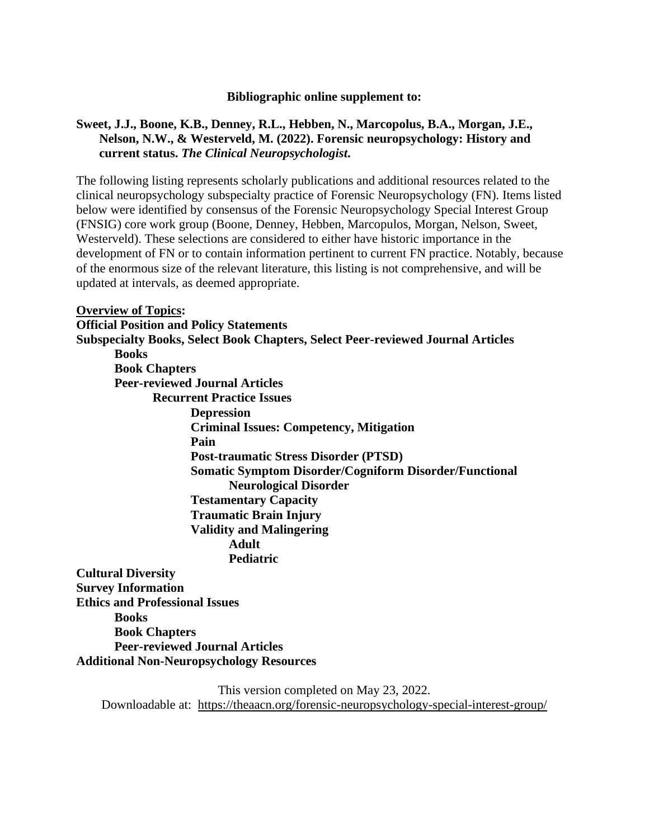#### **Bibliographic online supplement to:**

### **Sweet, J.J., Boone, K.B., Denney, R.L., Hebben, N., Marcopolus, B.A., Morgan, J.E., Nelson, N.W., & Westerveld, M. (2022). Forensic neuropsychology: History and current status.** *The Clinical Neuropsychologist***.**

The following listing represents scholarly publications and additional resources related to the clinical neuropsychology subspecialty practice of Forensic Neuropsychology (FN). Items listed below were identified by consensus of the Forensic Neuropsychology Special Interest Group (FNSIG) core work group (Boone, Denney, Hebben, Marcopulos, Morgan, Nelson, Sweet, Westerveld). These selections are considered to either have historic importance in the development of FN or to contain information pertinent to current FN practice. Notably, because of the enormous size of the relevant literature, this listing is not comprehensive, and will be updated at intervals, as deemed appropriate.

#### **Overview of Topics:**

**Official Position and Policy Statements Subspecialty Books, Select Book Chapters, Select Peer-reviewed Journal Articles Books Book Chapters Peer-reviewed Journal Articles Recurrent Practice Issues Depression Criminal Issues: Competency, Mitigation Pain Post-traumatic Stress Disorder (PTSD) Somatic Symptom Disorder/Cogniform Disorder/Functional Neurological Disorder Testamentary Capacity Traumatic Brain Injury Validity and Malingering Adult Pediatric Cultural Diversity Survey Information Ethics and Professional Issues**

**Books Book Chapters Peer-reviewed Journal Articles Additional Non-Neuropsychology Resources**

> This version completed on May 23, 2022. Downloadable at: <https://theaacn.org/forensic-neuropsychology-special-interest-group/>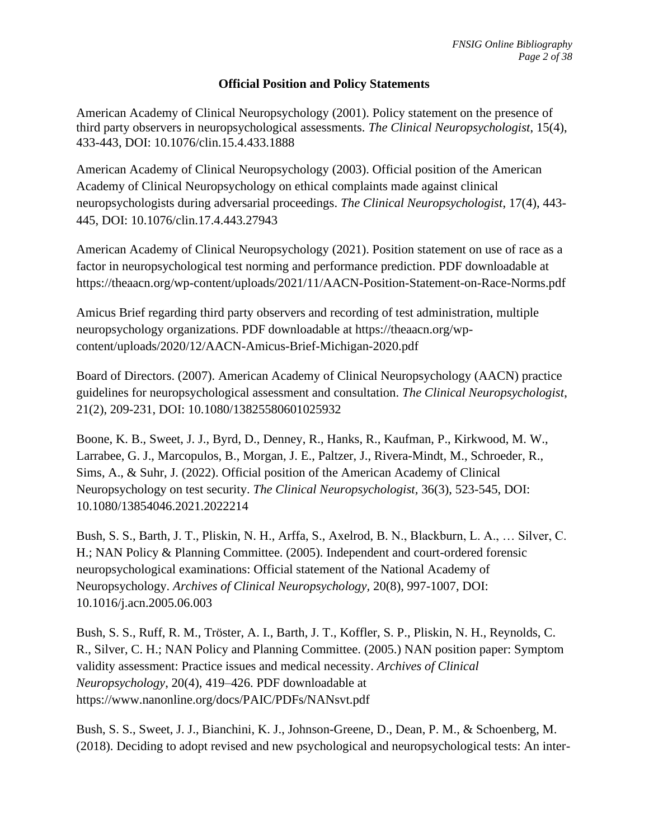### **Official Position and Policy Statements**

American Academy of Clinical Neuropsychology (2001). Policy statement on the presence of third party observers in neuropsychological assessments. *The Clinical Neuropsychologist*, 15(4), 433-443, [DOI: 10.1076/clin.15.4.433.1888](https://doi.org/10.1076/clin.15.4.433.1888)

American Academy of Clinical Neuropsychology (2003). Official position of the American Academy of Clinical Neuropsychology on ethical complaints made against clinical neuropsychologists during adversarial proceedings. *The Clinical Neuropsychologist*, 17(4), 443- 445, DOI: 10.1076/clin.17.4.443.27943

American Academy of Clinical Neuropsychology (2021). Position statement on use of race as a factor in neuropsychological test norming and performance prediction. PDF downloadable a[t](https://theaacn.org/wp-content/uploads/2021/11/AACN-Position-Statement-on-Race-Norms.pdf) <https://theaacn.org/wp-content/uploads/2021/11/AACN-Position-Statement-on-Race-Norms.pdf>

Amicus Brief regarding third party observers and recording of test administration, multiple neuropsychology organizations. PDF downloadable at [https://theaacn.org/wp](https://theaacn.org/wp-content/uploads/2020/12/AACN-Amicus-Brief-Michigan-2020.pdf)[content/uploads/2020/12/AACN-Amicus-Brief-Michigan-2020.pdf](https://theaacn.org/wp-content/uploads/2020/12/AACN-Amicus-Brief-Michigan-2020.pdf)

Board of Directors. (2007). American Academy of Clinical Neuropsychology (AACN) practice guidelines for neuropsychological assessment and consultation. *The Clinical Neuropsychologist*, 21(2), 209-231, DOI: 10.1080/13825580601025932

Boone, K. B., Sweet, J. J., Byrd, D., Denney, R., Hanks, R., Kaufman, P., Kirkwood, M. W., Larrabee, G. J., Marcopulos, B., Morgan, J. E., Paltzer, J., Rivera-Mindt, M., Schroeder, R., Sims, A., & Suhr, J. (2022). Official position of the American Academy of Clinical Neuropsychology on test security. *The Clinical Neuropsychologist,* 36(3), 523-545, DOI: [10.1080/13854046.2021.2022214](https://doi.org/10.1080/13854046.2021.2022214)

Bush, S. S., Barth, J. T., Pliskin, N. H., Arffa, S., Axelrod, B. N., Blackburn, L. A., … Silver, C. H.; NAN Policy & Planning Committee. (2005). Independent and court-ordered forensic neuropsychological examinations: Official statement of the National Academy of Neuropsychology. *Archives of Clinical Neuropsychology,* 20(8), 997-1007, [DOI:](http://dx.doi.org/10.1016/j.acn.2005.06.003)  [10.1016/j.acn.2005.06.003](http://dx.doi.org/10.1016/j.acn.2005.06.003)

Bush, S. S., Ruff, R. M., Tröster, A. I., Barth, J. T., Koffler, S. P., Pliskin, N. H., Reynolds, C. R., Silver, C. H.; NAN Policy and Planning Committee. (2005.) NAN position paper: Symptom validity assessment: Practice issues and medical necessity. *Archives of Clinical Neuropsychology*, 20(4), 419–426. PDF downloadable at https://www.nanonline.org/docs/PAIC/PDFs/NANsvt.pdf

Bush, S. S., Sweet, J. J., Bianchini, K. J., Johnson-Greene, D., Dean, P. M., & Schoenberg, M. (2018). Deciding to adopt revised and new psychological and neuropsychological tests: An inter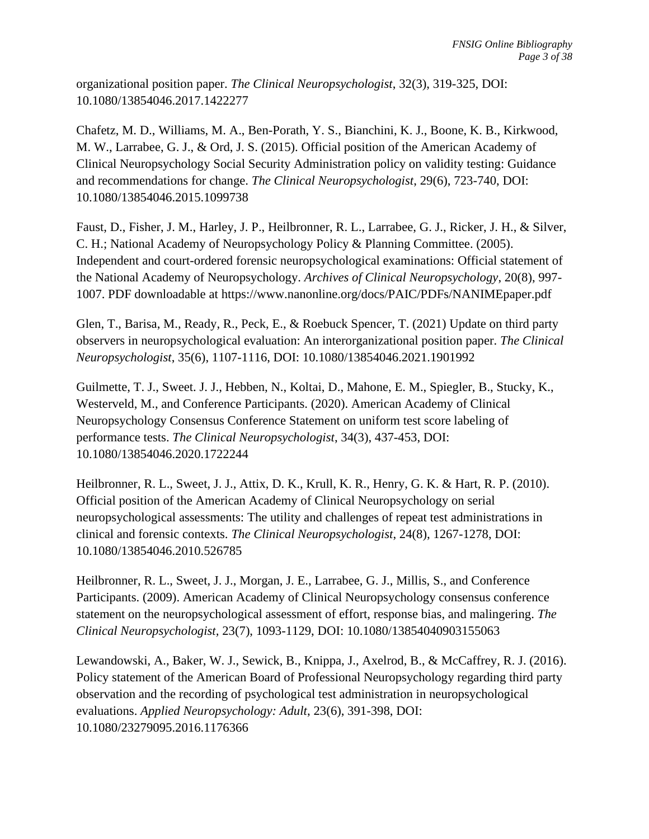organizational position paper. *The Clinical Neuropsychologist*, 32(3), 319-325, DOI: 10.1080/13854046.2017.1422277

Chafetz, M. D., Williams, M. A., Ben-Porath, Y. S., Bianchini, K. J., Boone, K. B., Kirkwood, M. W., Larrabee, G. J., & Ord, J. S. (2015). Official position of the American Academy of Clinical Neuropsychology Social Security Administration policy on validity testing: Guidance and recommendations for change. *The Clinical Neuropsychologist*, 29(6), 723-740, DOI: 10.1080/13854046.2015.1099738

Faust, D., Fisher, J. M., Harley, J. P., Heilbronner, R. L., Larrabee, G. J., Ricker, J. H., & Silver, C. H.; National Academy of Neuropsychology Policy & Planning Committee. (2005). Independent and court-ordered forensic neuropsychological examinations: Official statement of the National Academy of Neuropsychology. *Archives of Clinical Neuropsychology*, 20(8), 997- 1007. PDF downloadable at https://www.nanonline.org/docs/PAIC/PDFs/NANIMEpaper.pdf

Glen, T., Barisa, M., Ready, R., Peck, E., & Roebuck Spencer, T. (2021) Update on third party observers in neuropsychological evaluation: An interorganizational position paper. *The Clinical Neuropsychologist*, 35(6), 1107-1116, DOI: 10.1080/13854046.2021.1901992

Guilmette, T. J., Sweet. J. J., Hebben, N., Koltai, D., Mahone, E. M., Spiegler, B., Stucky, K., Westerveld, M., and Conference Participants. (2020). American Academy of Clinical Neuropsychology Consensus Conference Statement on uniform test score labeling of performance tests. *The Clinical Neuropsychologist*, 34(3), 437-453, DOI: 10.1080/13854046.2020.1722244

Heilbronner, R. L., Sweet, J. J., Attix, D. K., Krull, K. R., Henry, G. K. & Hart, R. P. (2010). Official position of the American Academy of Clinical Neuropsychology on serial neuropsychological assessments: The utility and challenges of repeat test administrations in clinical and forensic contexts. *The Clinical Neuropsychologist*, 24(8), 1267-1278, DOI: 10.1080/13854046.2010.526785

Heilbronner, R. L., Sweet, J. J., Morgan, J. E., Larrabee, G. J., Millis, S., and Conference Participants. (2009). American Academy of Clinical Neuropsychology consensus conference statement on the neuropsychological assessment of effort, response bias, and malingering. *The Clinical Neuropsychologist,* 23(7), 1093-1129, DOI: [10.1080/13854040903155063](https://doi.org/10.1080/13854040903155063)

Lewandowski, A., Baker, W. J., Sewick, B., Knippa, J., Axelrod, B., & McCaffrey, R. J. (2016). Policy statement of the American Board of Professional Neuropsychology regarding third party observation and the recording of psychological test administration in neuropsychological evaluations. *Applied Neuropsychology: Adult*, 23(6), 391-398, DOI: [10.1080/23279095.2016.1176366](https://psycnet.apa.org/doi/10.1080/23279095.2016.1176366)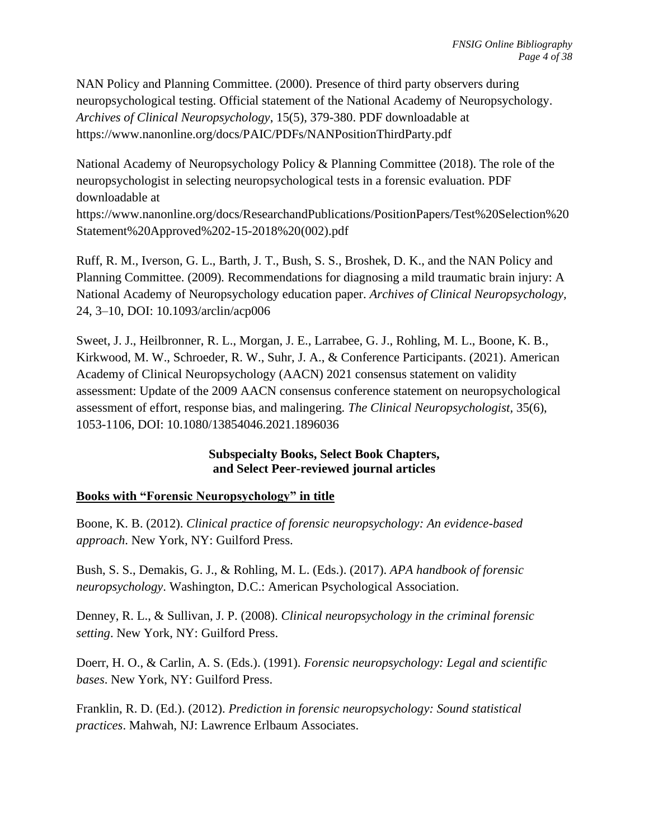NAN Policy and Planning Committee. (2000). Presence of third party observers during neuropsychological testing. Official statement of the National Academy of Neuropsychology. *Archives of Clinical Neuropsychology*, 15(5), 379-380. PDF downloadable at https://www.nanonline.org/docs/PAIC/PDFs/NANPositionThirdParty.pdf

National Academy of Neuropsychology Policy & Planning Committee (2018). The role of the neuropsychologist in selecting neuropsychological tests in a forensic evaluation. PDF downloadable a[t](https://www.nanonline.org/docs/ResearchandPublications/PositionPapers/Test%20Selection%20Statement%20Approved%202-15-2018%20(002).pdf)

[https://www.nanonline.org/docs/ResearchandPublications/PositionPapers/Test%20Selection%20](https://www.nanonline.org/docs/ResearchandPublications/PositionPapers/Test%20Selection%20Statement%20Approved%202-15-2018%20(002).pdf) [Statement%20Approved%202-15-2018%20\(002\).pdf](https://www.nanonline.org/docs/ResearchandPublications/PositionPapers/Test%20Selection%20Statement%20Approved%202-15-2018%20(002).pdf)

Ruff, R. M., Iverson, G. L., Barth, J. T., Bush, S. S., Broshek, D. K., and the NAN Policy and Planning Committee. (2009)*.* Recommendations for diagnosing a mild traumatic brain injury: A National Academy of Neuropsychology education paper. *Archives of Clinical Neuropsychology,* 24, 3–10, DOI: 10.1093/arclin/acp006

Sweet, J. J., Heilbronner, R. L., Morgan, J. E., Larrabee, G. J., Rohling, M. L., Boone, K. B., Kirkwood, M. W., Schroeder, R. W., Suhr, J. A., & Conference Participants. (2021). American Academy of Clinical Neuropsychology (AACN) 2021 consensus statement on validity assessment: Update of the 2009 AACN consensus conference statement on neuropsychological assessment of effort, response bias, and malingering*. The Clinical Neuropsychologist,* 35(6), 1053-1106, DOI: 10.1080/13854046.2021.1896036

# **Subspecialty Books, Select Book Chapters, and Select Peer-reviewed journal articles**

# **Books with "Forensic Neuropsychology" in title**

Boone, K. B. (2012). *Clinical practice of forensic neuropsychology: An evidence-based approach*. New York, NY: Guilford Press.

Bush, S. S., Demakis, G. J., & Rohling, M. L. (Eds.). (2017). *APA handbook of forensic neuropsychology*. Washington, D.C.: American Psychological Association.

Denney, R. L., & Sullivan, J. P. (2008). *Clinical neuropsychology in the criminal forensic setting*. New York, NY: Guilford Press.

Doerr, H. O., & Carlin, A. S. (Eds.). (1991). *Forensic neuropsychology: Legal and scientific bases*. New York, NY: Guilford Press.

Franklin, R. D. (Ed.). (2012). *Prediction in forensic neuropsychology: Sound statistical practices*. Mahwah, NJ: Lawrence Erlbaum Associates.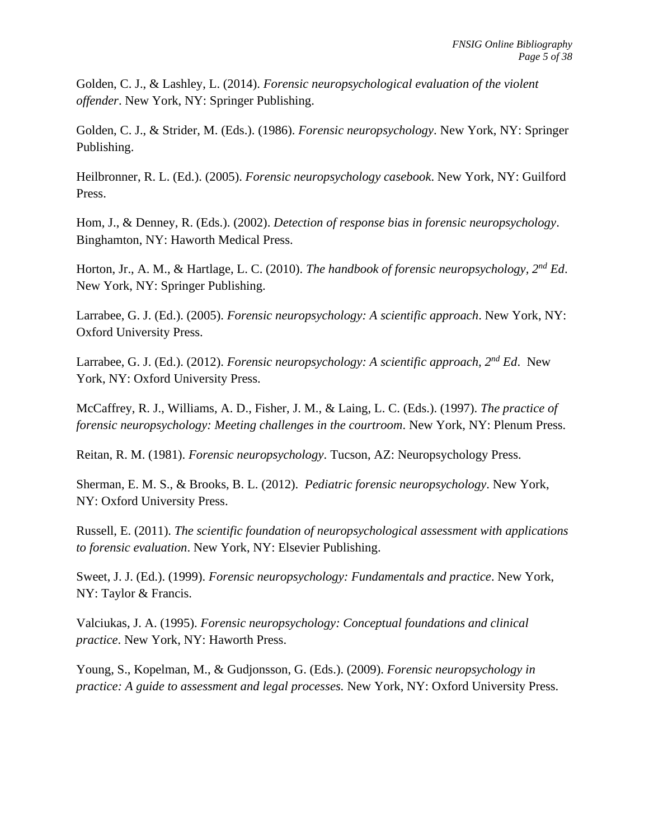Golden, C. J., & Lashley, L. (2014). *Forensic neuropsychological evaluation of the violent offender*. New York, NY: Springer Publishing.

Golden, C. J., & Strider, M. (Eds.). (1986). *Forensic neuropsychology*. New York, NY: Springer Publishing.

Heilbronner, R. L. (Ed.). (2005). *Forensic neuropsychology casebook*. New York, NY: Guilford Press.

Hom, J., & Denney, R. (Eds.). (2002). *Detection of response bias in forensic neuropsychology*. Binghamton, NY: Haworth Medical Press.

Horton, Jr., A. M., & Hartlage, L. C. (2010). *The handbook of forensic neuropsychology, 2nd Ed*. New York, NY: Springer Publishing.

Larrabee, G. J. (Ed.). (2005). *Forensic neuropsychology: A scientific approach*. New York, NY: Oxford University Press.

Larrabee, G. J. (Ed.). (2012). *Forensic neuropsychology: A scientific approach, 2nd Ed*. New York, NY: Oxford University Press.

McCaffrey, R. J., Williams, A. D., Fisher, J. M., & Laing, L. C. (Eds.). (1997). *The practice of forensic neuropsychology: Meeting challenges in the courtroom*. New York, NY: Plenum Press.

Reitan, R. M. (1981). *Forensic neuropsychology*. Tucson, AZ: Neuropsychology Press.

Sherman, E. M. S., & Brooks, B. L. (2012). *Pediatric forensic neuropsychology*. New York, NY: Oxford University Press.

Russell, E. (2011). *The scientific foundation of neuropsychological assessment with applications to forensic evaluation*. New York, NY: Elsevier Publishing.

Sweet, J. J. (Ed.). (1999). *Forensic neuropsychology: Fundamentals and practice*. New York, NY: Taylor & Francis.

Valciukas, J. A. (1995). *Forensic neuropsychology: Conceptual foundations and clinical practice*. New York, NY: Haworth Press.

Young, S., Kopelman, M., & Gudjonsson, G. (Eds.). (2009). *Forensic neuropsychology in practice: A guide to assessment and legal processes.* New York, NY: Oxford University Press.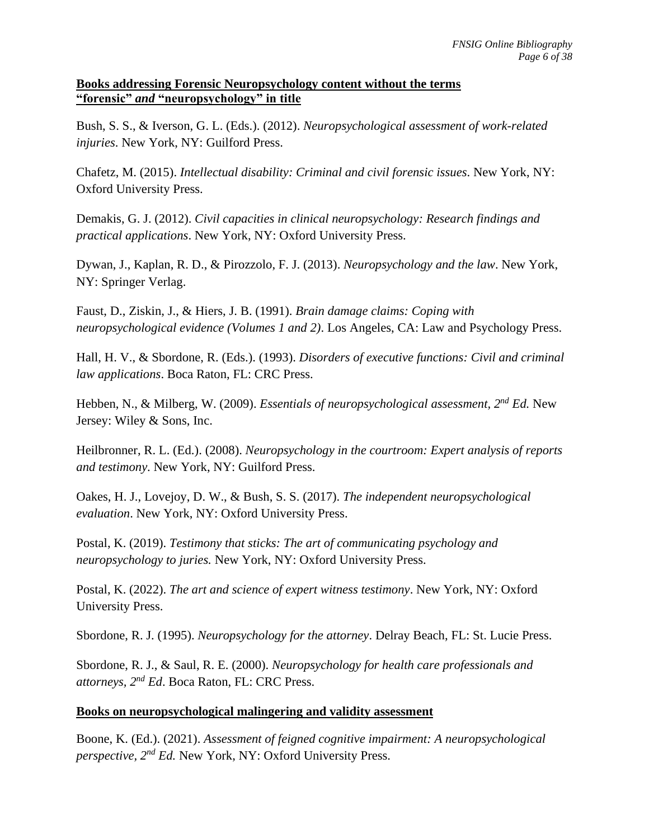### **Books addressing Forensic Neuropsychology content without the terms "forensic"** *and* **"neuropsychology" in title**

Bush, S. S., & Iverson, G. L. (Eds.). (2012). *Neuropsychological assessment of work-related injuries*. New York, NY: Guilford Press.

Chafetz, M. (2015). *Intellectual disability: Criminal and civil forensic issues*. New York, NY: Oxford University Press.

Demakis, G. J. (2012). *Civil capacities in clinical neuropsychology: Research findings and practical applications*. New York, NY: Oxford University Press.

Dywan, J., Kaplan, R. D., & Pirozzolo, F. J. (2013). *Neuropsychology and the law*. New York, NY: Springer Verlag.

Faust, D., Ziskin, J., & Hiers, J. B. (1991). *Brain damage claims: Coping with neuropsychological evidence (Volumes 1 and 2)*. Los Angeles, CA: Law and Psychology Press.

Hall, H. V., & Sbordone, R. (Eds.). (1993). *Disorders of executive functions: Civil and criminal law applications*. Boca Raton, FL: CRC Press.

Hebben, N., & Milberg, W. (2009). *Essentials of neuropsychological assessment, 2nd Ed.* New Jersey: Wiley & Sons, Inc.

Heilbronner, R. L. (Ed.). (2008). *Neuropsychology in the courtroom: Expert analysis of reports and testimony*. New York, NY: Guilford Press.

Oakes, H. J., Lovejoy, D. W., & Bush, S. S. (2017). *The independent neuropsychological evaluation*. New York, NY: Oxford University Press.

Postal, K. (2019). *Testimony that sticks: The art of communicating psychology and neuropsychology to juries.* New York, NY: Oxford University Press.

Postal, K. (2022). *The art and science of expert witness testimony*. New York, NY: Oxford University Press.

Sbordone, R. J. (1995). *Neuropsychology for the attorney*. Delray Beach, FL: St. Lucie Press.

Sbordone, R. J., & Saul, R. E. (2000). *Neuropsychology for health care professionals and attorneys, 2nd Ed*. Boca Raton, FL: CRC Press.

# **Books on neuropsychological malingering and validity assessment**

Boone, K. (Ed.). (2021). *Assessment of feigned cognitive impairment: A neuropsychological perspective, 2nd Ed.* New York, NY: Oxford University Press.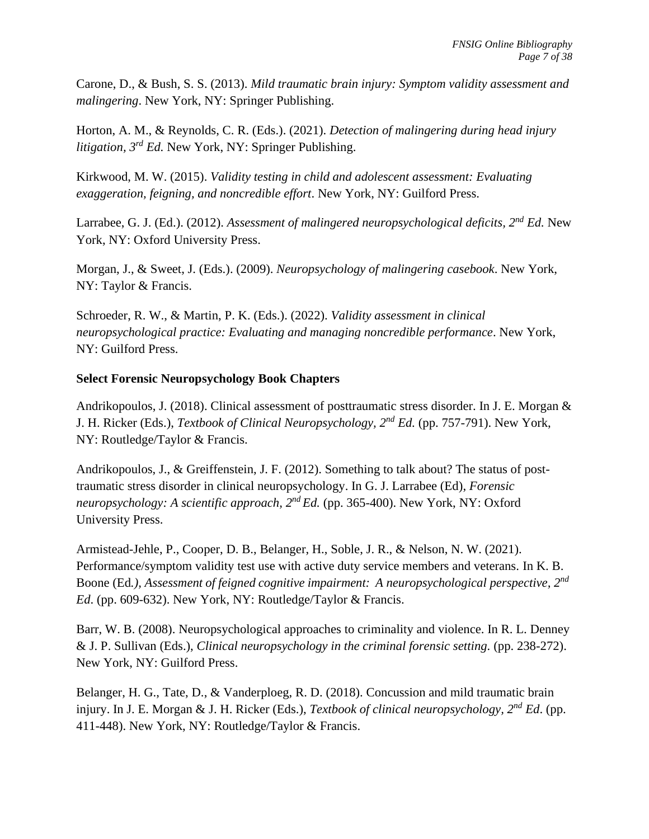Carone, D., & Bush, S. S. (2013). *Mild traumatic brain injury: Symptom validity assessment and malingering*. New York, NY: Springer Publishing.

Horton, A. M., & Reynolds, C. R. (Eds.). (2021). *Detection of malingering during head injury litigation, 3rd Ed.* New York, NY: Springer Publishing.

Kirkwood, M. W. (2015). *Validity testing in child and adolescent assessment: Evaluating exaggeration, feigning, and noncredible effort*. New York, NY: Guilford Press.

Larrabee, G. J. (Ed.). (2012). *Assessment of malingered neuropsychological deficits, 2nd Ed.* New York, NY: Oxford University Press.

Morgan, J., & Sweet, J. (Eds.). (2009). *Neuropsychology of malingering casebook*. New York, NY: Taylor & Francis.

Schroeder, R. W., & Martin, P. K. (Eds.). (2022). *Validity assessment in clinical neuropsychological practice: Evaluating and managing noncredible performance*. New York, NY: Guilford Press.

# **Select Forensic Neuropsychology Book Chapters**

Andrikopoulos, J. (2018). Clinical assessment of posttraumatic stress disorder. In J. E. Morgan & J. H. Ricker (Eds.), *Textbook of Clinical Neuropsychology, 2nd Ed.* (pp. 757-791). New York, NY: Routledge/Taylor & Francis.

Andrikopoulos, J., & Greiffenstein, J. F. (2012). Something to talk about? The status of posttraumatic stress disorder in clinical neuropsychology. In G. J. Larrabee (Ed), *Forensic neuropsychology: A scientific approach, 2<sup>nd</sup> Ed.* (pp. 365-400). New York, NY: Oxford University Press.

Armistead-Jehle, P., Cooper, D. B., Belanger, H., Soble, J. R., & Nelson, N. W. (2021). Performance/symptom validity test use with active duty service members and veterans. In K. B. Boone (Ed*.), Assessment of feigned cognitive impairment: A neuropsychological perspective, 2nd Ed*. (pp. 609-632). New York, NY: Routledge/Taylor & Francis.

Barr, W. B. (2008). Neuropsychological approaches to criminality and violence. In R. L. Denney & J. P. Sullivan (Eds.), *Clinical neuropsychology in the criminal forensic setting.* (pp. 238-272). New York, NY: Guilford Press.

Belanger, H. G., Tate, D., & Vanderploeg, R. D. (2018). Concussion and mild traumatic brain injury. In J. E. Morgan & J. H. Ricker (Eds.), *Textbook of clinical neuropsychology, 2nd Ed*. (pp. 411-448). New York, NY: Routledge/Taylor & Francis.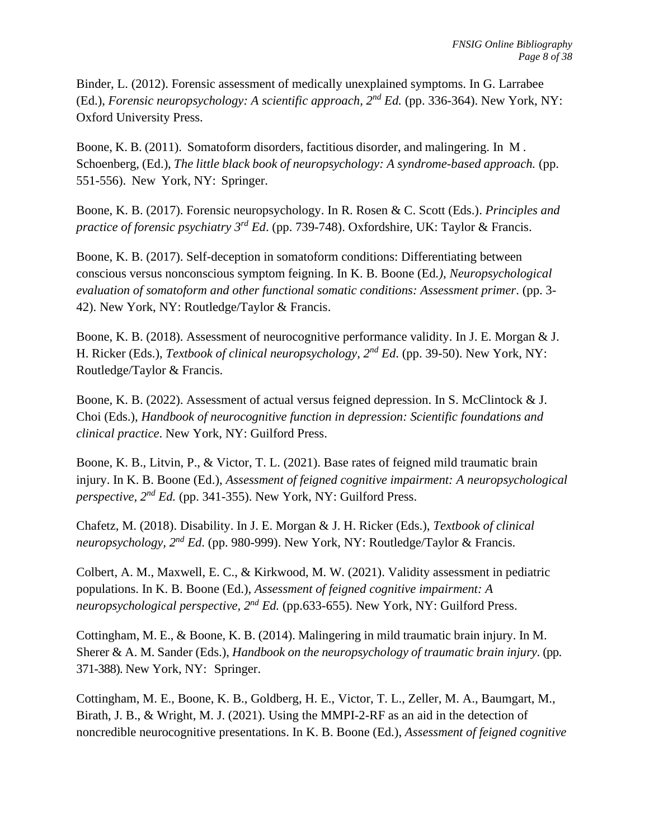Binder, L. (2012). Forensic assessment of medically unexplained symptoms. In G. Larrabee (Ed.), *Forensic neuropsychology: A scientific approach,*  $2^{nd} Ed$ *.* (pp. 336-364). New York, NY: Oxford University Press.

Boone, K. B. (2011). Somatoform disorders, factitious disorder, and malingering. In M . Schoenberg, (Ed.), *The little black book of neuropsychology: A syndrome-based approach.* (pp. 551-556). New York, NY: Springer.

Boone, K. B. (2017). Forensic neuropsychology. In R. Rosen & C. Scott (Eds.). *Principles and*  practice of forensic psychiatry 3<sup>rd</sup> Ed. (pp. 739-748). Oxfordshire, UK: Taylor & Francis.

Boone, K. B. (2017). Self-deception in somatoform conditions: Differentiating between conscious versus nonconscious symptom feigning. In K. B. Boone (Ed*.), Neuropsychological evaluation of somatoform and other functional somatic conditions: Assessment primer*. (pp. 3- 42). New York, NY: Routledge/Taylor & Francis.

Boone, K. B. (2018). Assessment of neurocognitive performance validity. In J. E. Morgan & J. H. Ricker (Eds.), *Textbook of clinical neuropsychology, 2nd Ed*. (pp. 39-50). New York, NY: Routledge/Taylor & Francis.

Boone, K. B. (2022). Assessment of actual versus feigned depression. In S. McClintock & J. Choi (Eds.), *Handbook of neurocognitive function in depression: Scientific foundations and clinical practice*. New York, NY: Guilford Press.

Boone, K. B., Litvin, P., & Victor, T. L. (2021). Base rates of feigned mild traumatic brain injury. In K. B. Boone (Ed.), *Assessment of feigned cognitive impairment: A neuropsychological perspective, 2 nd Ed.* (pp. 341-355). New York, NY: Guilford Press.

Chafetz, M. (2018). Disability. In J. E. Morgan & J. H. Ricker (Eds.), *Textbook of clinical neuropsychology, 2nd Ed*. (pp. 980-999). New York, NY: Routledge/Taylor & Francis.

Colbert, A. M., Maxwell, E. C., & Kirkwood, M. W. (2021). Validity assessment in pediatric populations. In K. B. Boone (Ed.), *Assessment of feigned cognitive impairment: A neuropsychological perspective, 2<sup>nd</sup> Ed.* (pp.633-655). New York, NY: Guilford Press.

Cottingham, M. E., & Boone, K. B. (2014). Malingering in mild traumatic brain injury. In M. Sherer & A. M. Sander (Eds.), *Handbook on the neuropsychology of traumatic brain injury*. (pp. 371-388). New York, NY: Springer.

Cottingham, M. E., Boone, K. B., Goldberg, H. E., Victor, T. L., Zeller, M. A., Baumgart, M., Birath, J. B., & Wright, M. J. (2021). Using the MMPI-2-RF as an aid in the detection of noncredible neurocognitive presentations. In K. B. Boone (Ed.), *Assessment of feigned cognitive*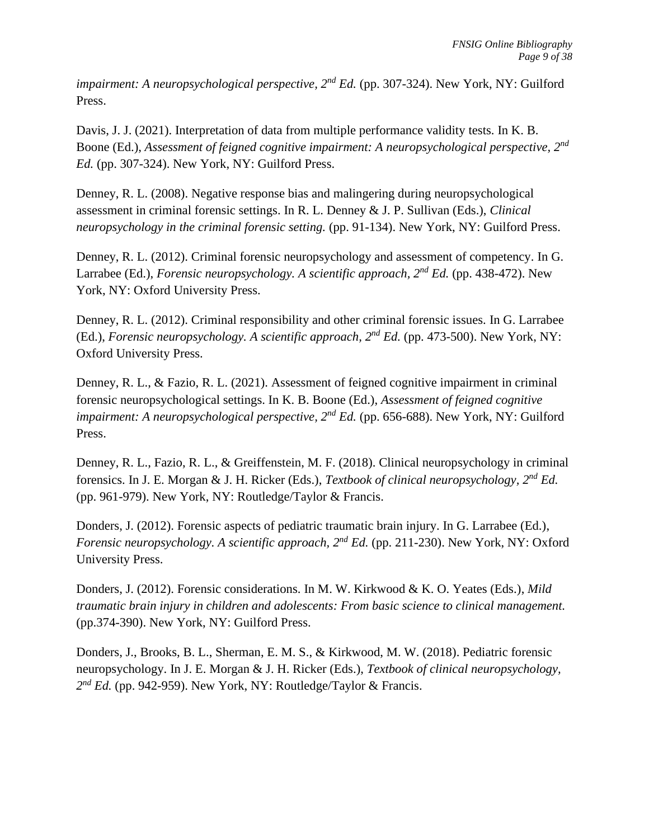*impairment: A neuropsychological perspective, 2<sup>nd</sup> Ed.* (pp. 307-324). New York, NY: Guilford Press.

Davis, J. J. (2021). Interpretation of data from multiple performance validity tests. In K. B. Boone (Ed.), Assessment of feigned cognitive impairment: A neuropsychological perspective, 2<sup>nd</sup> *Ed.* (pp. 307-324). New York, NY: Guilford Press.

Denney, R. L. (2008). Negative response bias and malingering during neuropsychological assessment in criminal forensic settings. In R. L. Denney & J. P. Sullivan (Eds.), *Clinical neuropsychology in the criminal forensic setting.* (pp. 91-134). New York, NY: Guilford Press.

Denney, R. L. (2012). Criminal forensic neuropsychology and assessment of competency. In G. Larrabee (Ed.), *Forensic neuropsychology. A scientific approach,*  $2^{nd}$  *Ed.* (pp. 438-472). New York, NY: Oxford University Press.

Denney, R. L. (2012). Criminal responsibility and other criminal forensic issues. In G. Larrabee (Ed.), *Forensic neuropsychology. A scientific approach,*  $2^{nd} Ed$ *.* (pp. 473-500). New York, NY: Oxford University Press.

Denney, R. L., & Fazio, R. L. (2021). Assessment of feigned cognitive impairment in criminal forensic neuropsychological settings. In K. B. Boone (Ed.), *Assessment of feigned cognitive impairment: A neuropsychological perspective, 2<sup>nd</sup> Ed.* (pp. 656-688). New York, NY: Guilford Press.

Denney, R. L., Fazio, R. L., & Greiffenstein, M. F. (2018). Clinical neuropsychology in criminal forensics. In J. E. Morgan & J. H. Ricker (Eds.), *Textbook of clinical neuropsychology, 2 nd Ed.* (pp. 961-979). New York, NY: Routledge/Taylor & Francis.

Donders, J. (2012). Forensic aspects of pediatric traumatic brain injury. In G. Larrabee (Ed.), *Forensic neuropsychology. A scientific approach, 2nd Ed.* (pp. 211-230). New York, NY: Oxford University Press.

Donders, J. (2012). Forensic considerations. In M. W. Kirkwood & K. O. Yeates (Eds.), *Mild traumatic brain injury in children and adolescents: From basic science to clinical management.* (pp.374-390). New York, NY: Guilford Press.

Donders, J., Brooks, B. L., Sherman, E. M. S., & Kirkwood, M. W. (2018). Pediatric forensic neuropsychology. In J. E. Morgan & J. H. Ricker (Eds.), *Textbook of clinical neuropsychology, 2 nd Ed.* (pp. 942-959). New York, NY: Routledge/Taylor & Francis.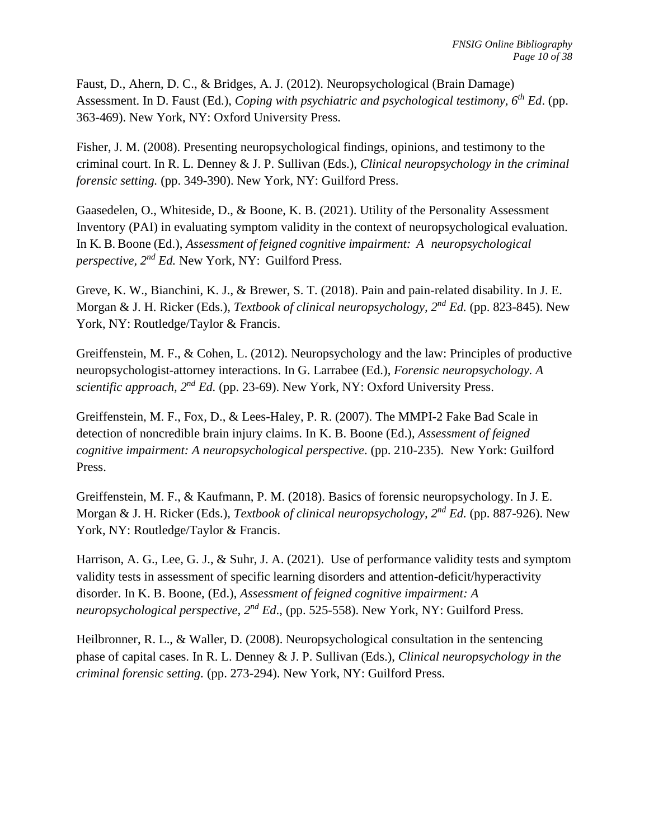Faust, D., Ahern, D. C., & Bridges, A. J. (2012). Neuropsychological (Brain Damage) Assessment. In D. Faust (Ed.), *Coping with psychiatric and psychological testimony, 6th Ed*. (pp. 363-469). New York, NY: Oxford University Press.

Fisher, J. M. (2008). Presenting neuropsychological findings, opinions, and testimony to the criminal court. In R. L. Denney & J. P. Sullivan (Eds.), *Clinical neuropsychology in the criminal forensic setting.* (pp. 349-390). New York, NY: Guilford Press.

Gaasedelen, O., Whiteside, D., & Boone, K. B. (2021). Utility of the Personality Assessment Inventory (PAI) in evaluating symptom validity in the context of neuropsychological evaluation. In K. B. Boone (Ed.), *Assessment of feigned cognitive impairment: A neuropsychological perspective, 2 nd Ed.* New York, NY: Guilford Press.

Greve, K. W., Bianchini, K. J., & Brewer, S. T. (2018). Pain and pain-related disability. In J. E. Morgan & J. H. Ricker (Eds.), *Textbook of clinical neuropsychology*,  $2^{nd}$  *Ed.* (pp. 823-845). New York, NY: Routledge/Taylor & Francis.

Greiffenstein, M. F., & Cohen, L. (2012). Neuropsychology and the law: Principles of productive neuropsychologist-attorney interactions. In G. Larrabee (Ed.), *Forensic neuropsychology. A scientific approach, 2nd Ed.* (pp. 23-69). New York, NY: Oxford University Press.

Greiffenstein, M. F., Fox, D., & Lees-Haley, P. R. (2007). The MMPI-2 Fake Bad Scale in detection of noncredible brain injury claims. In K. B. Boone (Ed.), *Assessment of feigned cognitive impairment: A neuropsychological perspective*. (pp. 210-235). New York: Guilford Press.

Greiffenstein, M. F., & Kaufmann, P. M. (2018). Basics of forensic neuropsychology. In J. E. Morgan & J. H. Ricker (Eds.), *Textbook of clinical neuropsychology, 2nd Ed.* (pp. 887-926). New York, NY: Routledge/Taylor & Francis.

Harrison, A. G., Lee, G. J., & Suhr, J. A. (2021). Use of performance validity tests and symptom validity tests in assessment of specific learning disorders and attention-deficit/hyperactivity disorder. In K. B. Boone, (Ed.), *Assessment of feigned cognitive impairment: A neuropsychological perspective, 2nd Ed*., (pp. 525-558). New York, NY: Guilford Press.

Heilbronner, R. L., & Waller, D. (2008). Neuropsychological consultation in the sentencing phase of capital cases. In R. L. Denney & J. P. Sullivan (Eds.), *Clinical neuropsychology in the criminal forensic setting.* (pp. 273-294). New York, NY: Guilford Press.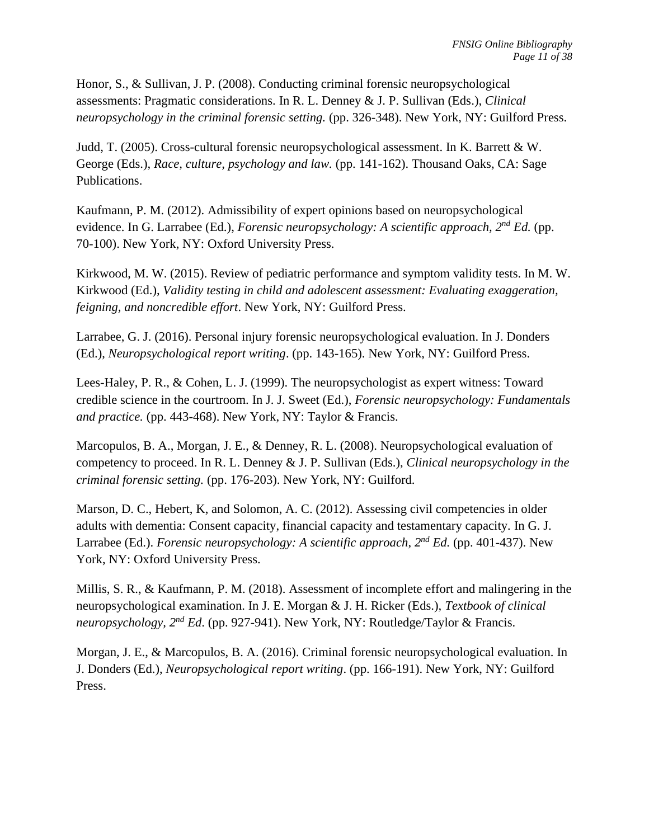Honor, S., & Sullivan, J. P. (2008). Conducting criminal forensic neuropsychological assessments: Pragmatic considerations. In R. L. Denney & J. P. Sullivan (Eds.), *Clinical neuropsychology in the criminal forensic setting.* (pp. 326-348). New York, NY: Guilford Press.

Judd, T. (2005). Cross-cultural forensic neuropsychological assessment. In K. Barrett & W. George (Eds.), *Race, culture, psychology and law.* (pp. 141-162). Thousand Oaks, CA: Sage Publications.

Kaufmann, P. M. (2012). Admissibility of expert opinions based on neuropsychological evidence. In G. Larrabee (Ed.), *Forensic neuropsychology: A scientific approach, 2nd Ed.* (pp. 70-100). New York, NY: Oxford University Press.

Kirkwood, M. W. (2015). Review of pediatric performance and symptom validity tests. In M. W. Kirkwood (Ed.), *Validity testing in child and adolescent assessment: Evaluating exaggeration, feigning, and noncredible effort*. New York, NY: Guilford Press.

Larrabee, G. J. (2016). Personal injury forensic neuropsychological evaluation. In J. Donders (Ed.), *Neuropsychological report writing*. (pp. 143-165). New York, NY: Guilford Press.

Lees-Haley, P. R., & Cohen, L. J. (1999). The neuropsychologist as expert witness: Toward credible science in the courtroom. In J. J. Sweet (Ed.), *Forensic neuropsychology: Fundamentals and practice.* (pp. 443-468). New York, NY: Taylor & Francis.

Marcopulos, B. A., Morgan, J. E., & Denney, R. L. (2008). Neuropsychological evaluation of competency to proceed. In R. L. Denney & J. P. Sullivan (Eds.), *Clinical neuropsychology in the criminal forensic setting.* (pp. 176-203). New York, NY: Guilford.

Marson, D. C., Hebert, K., and Solomon, A. C. (2012). Assessing civil competencies in older adults with dementia: Consent capacity, financial capacity and testamentary capacity*.* In G. J. Larrabee (Ed.). *Forensic neuropsychology: A scientific approach,*  $2^{nd}$  *Ed.* (pp. 401-437). New York, NY: Oxford University Press.

Millis, S. R., & Kaufmann, P. M. (2018). Assessment of incomplete effort and malingering in the neuropsychological examination. In J. E. Morgan & J. H. Ricker (Eds.), *Textbook of clinical neuropsychology, 2nd Ed*. (pp. 927-941). New York, NY: Routledge/Taylor & Francis.

Morgan, J. E., & Marcopulos, B. A. (2016). Criminal forensic neuropsychological evaluation. In J. Donders (Ed.), *Neuropsychological report writing*. (pp. 166-191). New York, NY: Guilford Press.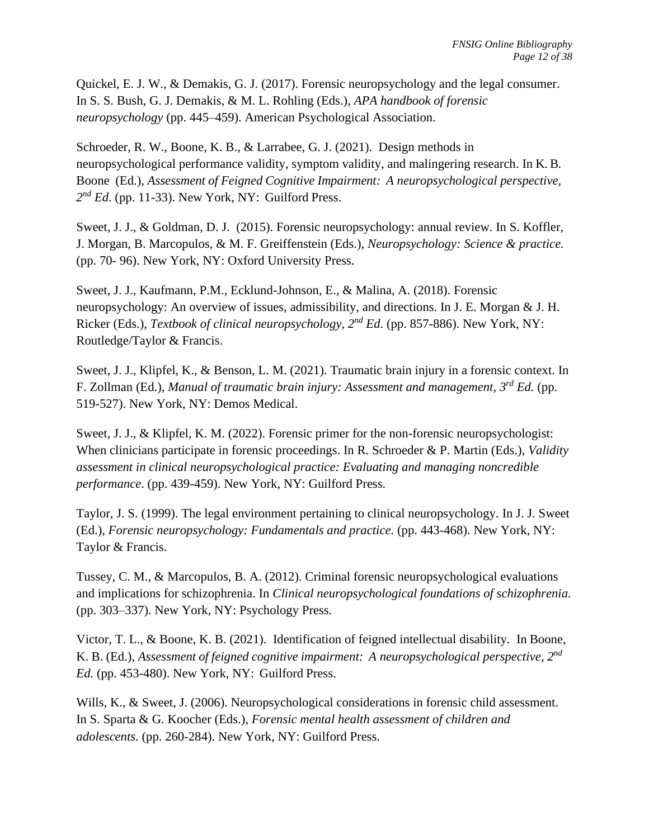Quickel, E. J. W., & Demakis, G. J. (2017). Forensic neuropsychology and the legal consumer. In S. S. Bush, G. J. Demakis, & M. L. Rohling (Eds.), *APA handbook of forensic neuropsychology* (pp. 445–459). American Psychological Association.

Schroeder, R. W., Boone, K. B., & Larrabee, G. J. (2021). Design methods in neuropsychological performance validity, symptom validity, and malingering research. In K. B. Boone (Ed.), *Assessment of Feigned Cognitive Impairment: A neuropsychological perspective, 2 nd Ed*. (pp. 11-33). New York, NY: Guilford Press.

Sweet, J. J., & Goldman, D. J. (2015). Forensic neuropsychology: annual review. In S. Koffler, J. Morgan, B. Marcopulos, & M. F. Greiffenstein (Eds.), *Neuropsychology: Science & practice.* (pp. 70- 96). New York, NY: Oxford University Press.

Sweet, J. J., Kaufmann, P.M., Ecklund-Johnson, E., & Malina, A. (2018). Forensic neuropsychology: An overview of issues, admissibility, and directions. In J. E. Morgan & J. H. Ricker (Eds.), *Textbook of clinical neuropsychology, 2nd Ed*. (pp. 857-886). New York, NY: Routledge/Taylor & Francis.

Sweet, J. J., Klipfel, K., & Benson, L. M. (2021). Traumatic brain injury in a forensic context. In F. Zollman (Ed.), *Manual of traumatic brain injury: Assessment and management, 3rd Ed.* (pp. 519-527). New York, NY: Demos Medical.

Sweet, J. J., & Klipfel, K. M. (2022). Forensic primer for the non-forensic neuropsychologist: When clinicians participate in forensic proceedings. In R. Schroeder & P. Martin (Eds.), *Validity assessment in clinical neuropsychological practice: Evaluating and managing noncredible performance*. (pp. 439-459). New York, NY: Guilford Press.

Taylor, J. S. (1999). The legal environment pertaining to clinical neuropsychology. In J. J. Sweet (Ed.), *Forensic neuropsychology: Fundamentals and practice.* (pp. 443-468). New York, NY: Taylor & Francis.

Tussey, C. M., & Marcopulos, B. A. (2012). Criminal forensic neuropsychological evaluations and implications for schizophrenia. In *Clinical neuropsychological foundations of schizophrenia.* (pp. 303–337). New York, NY: Psychology Press.

Victor, T. L., & Boone, K. B. (2021). Identification of feigned intellectual disability. In Boone, K. B. (Ed.), *Assessment of feigned cognitive impairment: A neuropsychological perspective, 2 nd Ed.* (pp. 453-480). New York, NY: Guilford Press.

Wills, K., & Sweet, J. (2006). Neuropsychological considerations in forensic child assessment. In S. Sparta & G. Koocher (Eds.), *Forensic mental health assessment of children and adolescents.* (pp. 260-284). New York, NY: Guilford Press.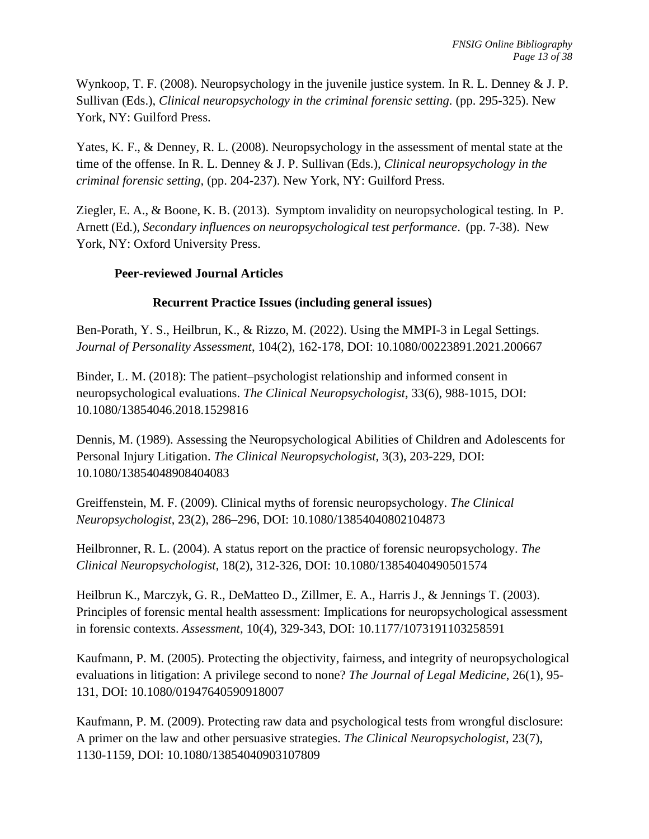Wynkoop, T. F. (2008). Neuropsychology in the juvenile justice system. In R. L. Denney & J. P. Sullivan (Eds.), *Clinical neuropsychology in the criminal forensic setting.* (pp. 295-325). New York, NY: Guilford Press.

Yates, K. F., & Denney, R. L. (2008). Neuropsychology in the assessment of mental state at the time of the offense. In R. L. Denney & J. P. Sullivan (Eds.), *Clinical neuropsychology in the criminal forensic setting,* (pp. 204-237). New York, NY: Guilford Press.

Ziegler, E. A., & Boone, K. B. (2013). Symptom invalidity on neuropsychological testing. In P. Arnett (Ed.), *Secondary influences on neuropsychological test performance*. (pp. 7-38). New York, NY: Oxford University Press.

# **Peer-reviewed Journal Articles**

# **Recurrent Practice Issues (including general issues)**

Ben-Porath, Y. S., Heilbrun, K., & Rizzo, M. (2022). Using the MMPI-3 in Legal Settings. *Journal of Personality Assessment*, 104(2), 162-178, DOI: 10.1080/00223891.2021.200667

Binder, L. M. (2018): The patient–psychologist relationship and informed consent in neuropsychological evaluations. *The Clinical Neuropsychologist*, 33(6), 988-1015, DOI: [10.1080/13854046.2018.1529816](https://doi.org/10.1080/13854046.2018.1529816)

Dennis, M. (1989). Assessing the Neuropsychological Abilities of Children and Adolescents for Personal Injury Litigation. *The Clinical Neuropsychologist,* 3(3), 203-229, DOI: 10.1080/13854048908404083

Greiffenstein, M. F. (2009). Clinical myths of forensic neuropsychology. *The Clinical Neuropsychologist*, 23(2), 286–296, DOI: [10.1080/13854040802104873](https://psycnet.apa.org/doi/10.1080/13854040802104873)

Heilbronner, R. L. (2004). A status report on the practice of forensic neuropsychology. *The Clinical Neuropsychologist*, 18(2), 312-326, DOI: [10.1080/13854040490501574](https://psycnet.apa.org/doi/10.1080/13854040490501574)

Heilbrun K., Marczyk, G. R., DeMatteo D., Zillmer, E. A., Harris J., & Jennings T. (2003). Principles of forensic mental health assessment: Implications for neuropsychological assessment in forensic contexts. *Assessment*, 10(4), 329-343, DOI: [10.1177/1073191103258591](https://psycnet.apa.org/doi/10.1177/1073191103258591)

Kaufmann, P. M. (2005). Protecting the objectivity, fairness, and integrity of neuropsychological evaluations in litigation: A privilege second to none? *The Journal of Legal Medicine*, 26(1), 95- 131, DOI: 10.1080/01947640590918007

Kaufmann, P. M. (2009). Protecting raw data and psychological tests from wrongful disclosure: A primer on the law and other persuasive strategies. *The Clinical Neuropsychologist*, 23(7), 1130-1159, DOI: [10.1080/13854040903107809](https://psycnet.apa.org/doi/10.1080/13854040903107809)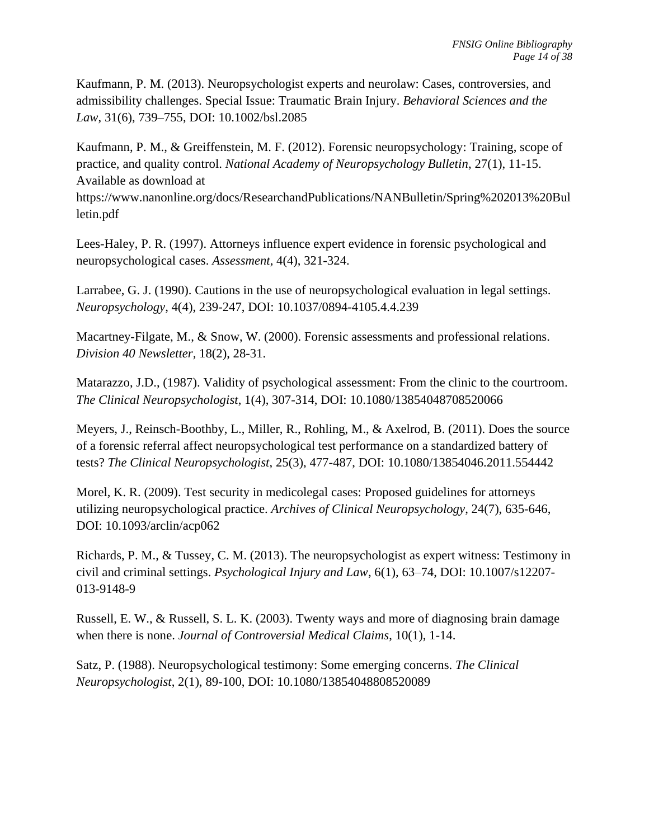Kaufmann, P. M. (2013). Neuropsychologist experts and neurolaw: Cases, controversies, and admissibility challenges. Special Issue: Traumatic Brain Injury. *Behavioral Sciences and the Law*, 31(6), 739–755, DOI: [10.1002/bsl.2085](https://doi.org/10.1002/bsl.2085)

Kaufmann, P. M., & Greiffenstein, M. F. (2012). Forensic neuropsychology: Training, scope of practice, and quality control. *National Academy of Neuropsychology Bulletin*, 27(1), 11-15. Available as download at

https://www.nanonline.org/docs/ResearchandPublications/NANBulletin/Spring%202013%20Bul letin.pdf

Lees-Haley, P. R. (1997). Attorneys influence expert evidence in forensic psychological and neuropsychological cases. *Assessment*, 4(4), 321-324.

Larrabee, G. J. (1990). Cautions in the use of neuropsychological evaluation in legal settings. *Neuropsychology*, 4(4), 239-247, DOI: [10.1037/0894-4105.4.4.239](https://psycnet.apa.org/doi/10.1037/0894-4105.4.4.239)

Macartney-Filgate, M., & Snow, W. (2000). Forensic assessments and professional relations. *Division 40 Newsletter,* 18(2), 28-31.

Matarazzo, J.D., (1987). Validity of psychological assessment: From the clinic to the courtroom. *The Clinical Neuropsychologist*, 1(4), 307-314, DOI: [10.1080/13854048708520066](https://psycnet.apa.org/doi/10.1080/13854048708520066)

Meyers, J., Reinsch-Boothby, L., Miller, R., Rohling, M., & Axelrod, B. (2011). Does the source of a forensic referral affect neuropsychological test performance on a standardized battery of tests? *The Clinical Neuropsychologist*, 25(3), 477-487, DOI: [10.1080/13854046.2011.554442](https://psycnet.apa.org/doi/10.1080/13854046.2011.554442)

Morel, K. R. (2009). Test security in medicolegal cases: Proposed guidelines for attorneys utilizing neuropsychological practice. *Archives of Clinical Neuropsychology*, 24(7), 635-646, DOI: [10.1093/arclin/acp062](https://psycnet.apa.org/doi/10.1093/arclin/acp062)

Richards, P. M., & Tussey, C. M. (2013). The neuropsychologist as expert witness: Testimony in civil and criminal settings. *Psychological Injury and Law*, 6(1), 63–74, DOI: 10.1007/s12207- 013-9148-9

Russell, E. W., & Russell, S. L. K. (2003). Twenty ways and more of diagnosing brain damage when there is none. *Journal of Controversial Medical Claims*, 10(1), 1-14.

Satz, P. (1988). Neuropsychological testimony: Some emerging concerns. *The Clinical Neuropsychologist*, 2(1), 89-100, DOI: 10.1080/13854048808520089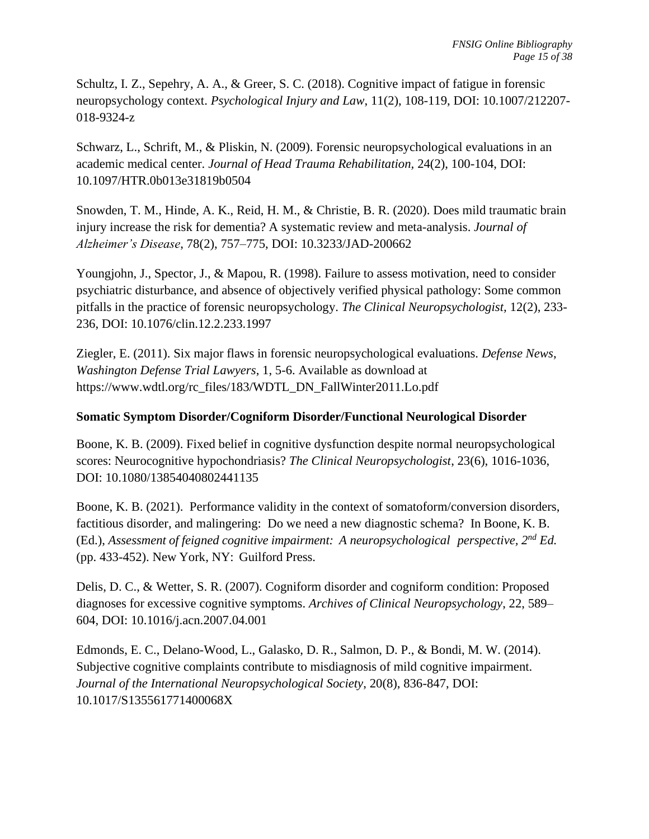Schultz, I. Z., Sepehry, A. A., & Greer, S. C. (2018). Cognitive impact of fatigue in forensic neuropsychology context. *Psychological Injury and Law*, 11(2), 108-119, DOI: 10.1007/212207- 018-9324-z

Schwarz, L., Schrift, M., & Pliskin, N. (2009). Forensic neuropsychological evaluations in an academic medical center. *Journal of Head Trauma Rehabilitation,* 24(2), 100-104, DOI: 10.1097/HTR.0b013e31819b0504

Snowden, T. M., Hinde, A. K., Reid, H. M., & Christie, B. R. (2020). Does mild traumatic brain injury increase the risk for dementia? A systematic review and meta-analysis. *Journal of Alzheimer's Disease*, 78(2), 757–775, DOI: [10.3233/JAD-200662](https://doi.org/10.3233/jad-200662)

Youngjohn, J., Spector, J., & Mapou, R. (1998). Failure to assess motivation, need to consider psychiatric disturbance, and absence of objectively verified physical pathology: Some common pitfalls in the practice of forensic neuropsychology. *The Clinical Neuropsychologist,* 12(2), 233- 236, DOI: 10.1076/clin.12.2.233.1997

Ziegler, E. (2011). Six major flaws in forensic neuropsychological evaluations. *Defense News*, *Washington Defense Trial Lawyers*, 1, 5-6. Available as download at https://www.wdtl.org/rc\_files/183/WDTL\_DN\_FallWinter2011.Lo.pdf

# **Somatic Symptom Disorder/Cogniform Disorder/Functional Neurological Disorder**

Boone, K. B. (2009). Fixed belief in cognitive dysfunction despite normal neuropsychological scores: Neurocognitive hypochondriasis? *The Clinical Neuropsychologist*, 23(6), 1016-1036, DOI: 10.1080/13854040802441135

Boone, K. B. (2021). Performance validity in the context of somatoform/conversion disorders, factitious disorder, and malingering: Do we need a new diagnostic schema? In Boone, K. B. (Ed.), *Assessment of feigned cognitive impairment: A neuropsychological perspective, 2 nd Ed.*  (pp. 433-452). New York, NY: Guilford Press.

Delis, D. C., & Wetter, S. R. (2007). Cogniform disorder and cogniform condition: Proposed diagnoses for excessive cognitive symptoms. *Archives of Clinical Neuropsychology*, 22, 589– 604, DOI: [10.1016/j.acn.2007.04.001](https://psycnet.apa.org/doi/10.1016/j.acn.2007.04.001)

Edmonds, E. C., Delano-Wood, L., Galasko, D. R., Salmon, D. P., & Bondi, M. W. (2014). Subjective cognitive complaints contribute to misdiagnosis of mild cognitive impairment. *Journal of the International Neuropsychological Society*, 20(8), 836-847, DOI: [10.1017/S135561771400068X](https://doi.org/10.1017%2FS135561771400068X)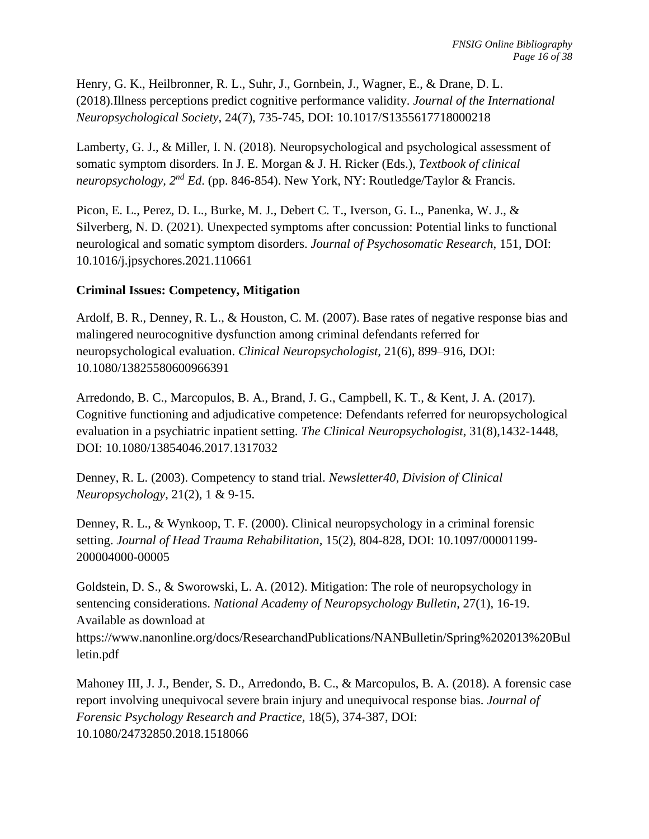Henry, G. K., Heilbronner, R. L., Suhr, J., Gornbein, J., Wagner, E., & Drane, D. L. (2018).Illness perceptions predict cognitive performance validity. *Journal of the International Neuropsychological Society*, 24(7), 735-745, DOI: [10.1017/S1355617718000218](https://psycnet.apa.org/doi/10.1017/S1355617718000218)

Lamberty, G. J., & Miller, I. N. (2018). Neuropsychological and psychological assessment of somatic symptom disorders. In J. E. Morgan & J. H. Ricker (Eds.), *Textbook of clinical neuropsychology, 2nd Ed*. (pp. 846-854). New York, NY: Routledge/Taylor & Francis.

Picon, E. L., Perez, D. L., Burke, M. J., Debert C. T., Iverson, G. L., Panenka, W. J., & Silverberg, N. D. (2021). Unexpected symptoms after concussion: Potential links to functional neurological and somatic symptom disorders. *Journal of Psychosomatic Research*, 151, [DOI:](https://doi.org/10.1016/j.jpsychores.2021.110661)  [10.1016/j.jpsychores.2021.110661](https://doi.org/10.1016/j.jpsychores.2021.110661)

# **Criminal Issues: Competency, Mitigation**

Ardolf, B. R., Denney, R. L., & Houston, C. M. (2007). Base rates of negative response bias and malingered neurocognitive dysfunction among criminal defendants referred for neuropsychological evaluation. *Clinical Neuropsychologist,* 21(6), 899–916, DOI: 10.1080/13825580600966391

Arredondo, B. C., Marcopulos, B. A., Brand, J. G., Campbell, K. T., & Kent, J. A. (2017). Cognitive functioning and adjudicative competence: Defendants referred for neuropsychological evaluation in a psychiatric inpatient setting. *The Clinical Neuropsychologist*, 31(8),1432-1448, DOI: 10.1080/13854046.2017.1317032

Denney, R. L. (2003). Competency to stand trial. *Newsletter40, Division of Clinical Neuropsychology*, 21(2), 1 & 9-15.

Denney, R. L., & Wynkoop, T. F. (2000). Clinical neuropsychology in a criminal forensic setting. *Journal of Head Trauma Rehabilitation,* 15(2), 804-828, DOI: [10.1097/00001199-](https://psycnet.apa.org/doi/10.1097/00001199-200004000-00005) [200004000-00005](https://psycnet.apa.org/doi/10.1097/00001199-200004000-00005)

Goldstein, D. S., & Sworowski, L. A. (2012). Mitigation: The role of neuropsychology in sentencing considerations. *National Academy of Neuropsychology Bulletin*, 27(1), 16-19. Available as download at https://www.nanonline.org/docs/ResearchandPublications/NANBulletin/Spring%202013%20Bul letin.pdf

Mahoney III, J. J., Bender, S. D., Arredondo, B. C., & Marcopulos, B. A. (2018). A forensic case report involving unequivocal severe brain injury and unequivocal response bias. *Journal of Forensic Psychology Research and Practice,* 18(5), 374-387, DOI: 10.1080/24732850.2018.1518066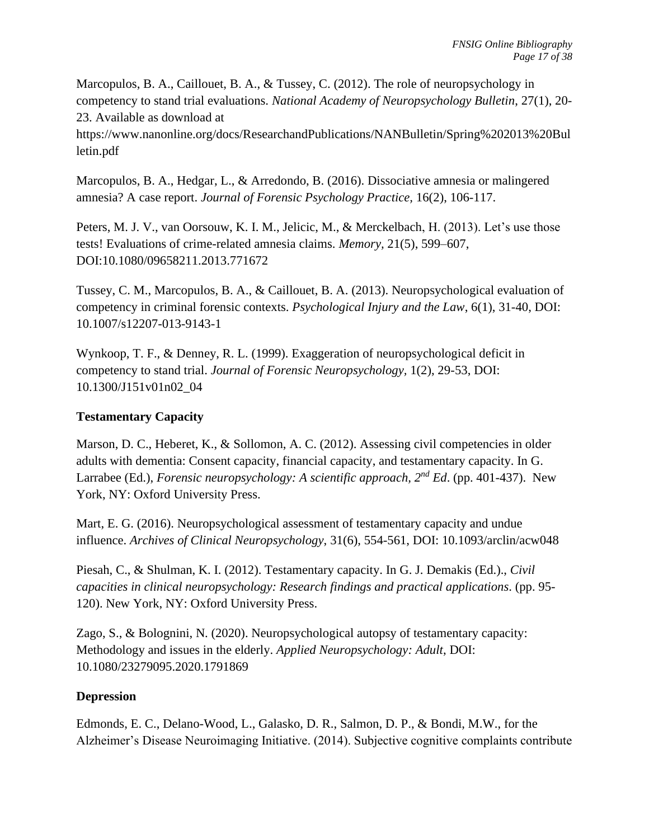Marcopulos, B. A., Caillouet, B. A., & Tussey, C. (2012). The role of neuropsychology in competency to stand trial evaluations. *National Academy of Neuropsychology Bulletin*, 27(1), 20- 23. Available as download at

https://www.nanonline.org/docs/ResearchandPublications/NANBulletin/Spring%202013%20Bul letin.pdf

Marcopulos, B. A., Hedgar, L., & Arredondo, B. (2016). Dissociative amnesia or malingered amnesia? A case report. *Journal of Forensic Psychology Practice,* 16(2), 106-117.

Peters, M. J. V., van Oorsouw, K. I. M., Jelicic, M., & Merckelbach, H. (2013). Let's use those tests! Evaluations of crime-related amnesia claims. *Memory,* 21(5), 599–607, DOI:10.1080/09658211.2013.771672

Tussey, C. M., Marcopulos, B. A., & Caillouet, B. A. (2013). Neuropsychological evaluation of competency in criminal forensic contexts. *Psychological Injury and the Law*, 6(1), 31-40, DOI: [10.1007/s12207-013-9143-1](https://psycnet.apa.org/doi/10.1007/s12207-013-9143-1)

Wynkoop, T. F., & Denney, R. L. (1999). Exaggeration of neuropsychological deficit in competency to stand trial. *Journal of Forensic Neuropsychology,* 1(2), 29-53, DOI: [10.1300/J151v01n02\\_04](https://psycnet.apa.org/doi/10.1300/J151v01n02_04)

# **Testamentary Capacity**

Marson, D. C., Heberet, K., & Sollomon, A. C. (2012). Assessing civil competencies in older adults with dementia: Consent capacity, financial capacity, and testamentary capacity. In G. Larrabee (Ed.), *Forensic neuropsychology: A scientific approach, 2nd Ed*. (pp. 401-437). New York, NY: Oxford University Press.

Mart, E. G. (2016). Neuropsychological assessment of testamentary capacity and undue influence. *Archives of Clinical Neuropsychology*, 31(6), 554-561, DOI: 10.1093/arclin/acw048

Piesah, C., & Shulman, K. I. (2012). Testamentary capacity. In G. J. Demakis (Ed.)., *Civil capacities in clinical neuropsychology: Research findings and practical applications*. (pp. 95- 120). New York, NY: Oxford University Press.

Zago, S., & Bolognini, N. (2020). Neuropsychological autopsy of testamentary capacity: Methodology and issues in the elderly. *Applied Neuropsychology: Adult*, DOI: 10.1080/23279095.2020.1791869

# **Depression**

Edmonds, E. C., Delano-Wood, L., Galasko, D. R., Salmon, D. P., & Bondi, M.W., for the Alzheimer's Disease Neuroimaging Initiative. (2014). Subjective cognitive complaints contribute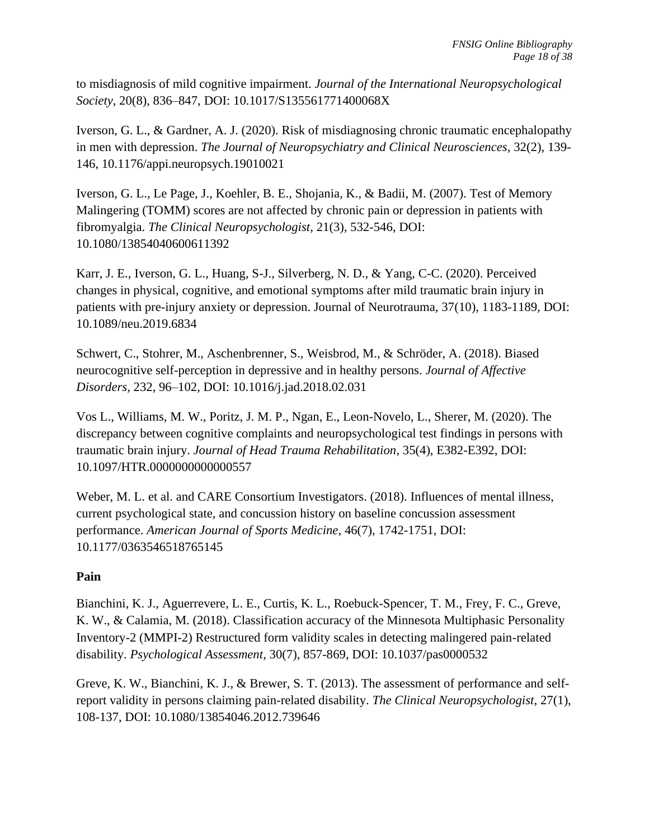to misdiagnosis of mild cognitive impairment. *Journal of the International Neuropsychological Society*, 20(8), 836–847, DOI: [10.1017/S135561771400068X](https://doi.org/10.1017%2FS135561771400068X)

Iverson, G. L., & Gardner, A. J. (2020). [Risk of misdiagnosing chronic traumatic encephalopathy](https://neuro.psychiatryonline.org/doi/abs/10.1176/appi.neuropsych.19010021)  [in men with depression.](https://neuro.psychiatryonline.org/doi/abs/10.1176/appi.neuropsych.19010021) *The Journal of Neuropsychiatry and Clinical Neurosciences*, 32(2), 139- 146, [10.1176/appi.neuropsych.19010021](https://doi.org/10.1176/appi.neuropsych.19010021)

Iverson, G. L., Le Page, J., Koehler, B. E., Shojania, K., & Badii, M. (2007). Test of Memory Malingering (TOMM) scores are not affected by chronic pain or depression in patients with fibromyalgia. *The Clinical Neuropsychologist*, 21(3), 532-546, DOI: [10.1080/13854040600611392](https://psycnet.apa.org/doi/10.1080/13854040600611392)

Karr, J. E., Iverson, G. L., Huang, S-J., Silverberg, N. D., & Yang, C-C. (2020). Perceived changes in physical, cognitive, and emotional symptoms after mild traumatic brain injury in patients with pre-injury anxiety or depression. Journal of Neurotrauma, 37(10), 1183-1189, DOI: 10.1089/neu.2019.6834

Schwert, C., Stohrer, M., Aschenbrenner, S., Weisbrod, M., & Schröder, A. (2018). Biased neurocognitive self-perception in depressive and in healthy persons. *Journal of Affective Disorders,* 232, 96–102, DOI: [10.1016/j.jad.2018.02.031](https://doi.org/10.1016/j.jad.2018.02.031)

Vos L., Williams, M. W., Poritz, J. M. P., Ngan, E., Leon-Novelo, L., Sherer, M. (2020). The discrepancy between cognitive complaints and neuropsychological test findings in persons with traumatic brain injury. *Journal of Head Trauma Rehabilitation*, 35(4), E382-E392, DOI: 10.1097/HTR.0000000000000557

Weber, M. L. et al. and CARE Consortium Investigators. (2018). Influences of mental illness, current psychological state, and concussion history on baseline concussion assessment performance. *American Journal of Sports Medicine*, [46\(7\),](https://journals.sagepub.com/toc/ajs/46/7) 1742-1751, DOI: 10.1177/0363546518765145

# **Pain**

Bianchini, K. J., Aguerrevere, L. E., Curtis, K. L., Roebuck-Spencer, T. M., Frey, F. C., Greve, K. W., & Calamia, M. (2018). Classification accuracy of the Minnesota Multiphasic Personality Inventory-2 (MMPI-2) Restructured form validity scales in detecting malingered pain-related disability. *Psychological Assessment*, 30(7), 857-869, DOI: [10.1037/pas0000532](https://psycnet.apa.org/doi/10.1037/pas0000532)

Greve, K. W., Bianchini, K. J., & Brewer, S. T. (2013). The assessment of performance and selfreport validity in persons claiming pain-related disability. *The Clinical Neuropsychologist*, 27(1), 108-137, DOI: [10.1080/13854046.2012.739646](https://psycnet.apa.org/doi/10.1080/13854046.2012.739646)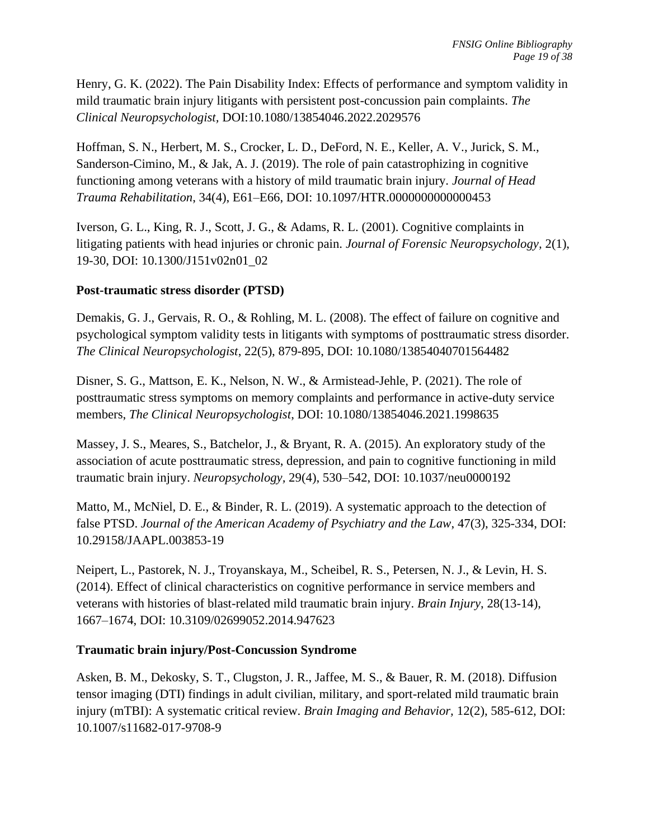Henry, G. K. (2022). The Pain Disability Index: Effects of performance and symptom validity in mild traumatic brain injury litigants with persistent post-concussion pain complaints. *The Clinical Neuropsychologist,* [DOI:10.1080/13854046.2022.2029576](https://doi.org/10.1080/13854046.2022.2029576)

Hoffman, S. N., Herbert, M. S., Crocker, L. D., DeFord, N. E., Keller, A. V., Jurick, S. M., Sanderson-Cimino, M., & Jak, A. J. (2019). The role of pain catastrophizing in cognitive functioning among veterans with a history of mild traumatic brain injury. *Journal of Head Trauma Rehabilitation*, 34(4), E61–E66, [DOI: 10.1097/HTR.0000000000000453](https://doi.org/10.1097/HTR.0000000000000453)

Iverson, G. L., King, R. J., Scott, J. G., & Adams, R. L. (2001). Cognitive complaints in litigating patients with head injuries or chronic pain. *Journal of Forensic Neuropsychology,* 2(1), 19-30, DOI: [10.1300/J151v02n01\\_02](https://psycnet.apa.org/doi/10.1300/J151v02n01_02)

### **Post-traumatic stress disorder (PTSD)**

Demakis, G. J., Gervais, R. O., & Rohling, M. L. (2008). The effect of failure on cognitive and psychological symptom validity tests in litigants with symptoms of posttraumatic stress disorder. *The Clinical Neuropsychologist*, 22(5), 879-895, DOI: [10.1080/13854040701564482](https://psycnet.apa.org/doi/10.1080/13854040701564482)

Disner, S. G., Mattson, E. K., Nelson, N. W., & Armistead-Jehle, P. (2021). The role of posttraumatic stress symptoms on memory complaints and performance in active-duty service members, *The Clinical Neuropsychologist*, DOI: 10.1080/13854046.2021.1998635

Massey, J. S., Meares, S., Batchelor, J., & Bryant, R. A. (2015). An exploratory study of the association of acute posttraumatic stress, depression, and pain to cognitive functioning in mild traumatic brain injury. *Neuropsychology,* 29(4), 530–542, [DOI: 10.1037/neu0000192](https://doi.apa.org/doi/10.1037/neu0000192)

Matto, M., McNiel, D. E., & Binder, R. L. (2019). A systematic approach to the detection of false PTSD. *Journal of the American Academy of Psychiatry and the Law*, 47(3), 325-334, DOI: [10.29158/JAAPL.003853-19](https://doi.org/10.29158/jaapl.003853-19)

Neipert, L., Pastorek, N. J., Troyanskaya, M., Scheibel, R. S., Petersen, N. J., & Levin, H. S. (2014). Effect of clinical characteristics on cognitive performance in service members and veterans with histories of blast-related mild traumatic brain injury. *Brain Injury*, 28(13-14), 1667–1674, DOI: 10.3109/02699052.2014.947623

# **Traumatic brain injury/Post-Concussion Syndrome**

Asken, B. M., Dekosky, S. T., Clugston, J. R., Jaffee, M. S., & Bauer, R. M. (2018). Diffusion tensor imaging (DTI) findings in adult civilian, military, and sport-related mild traumatic brain injury (mTBI): A systematic critical review. *Brain Imaging and Behavior,* 12(2), 585-612, DOI: 10.1007/s11682-017-9708-9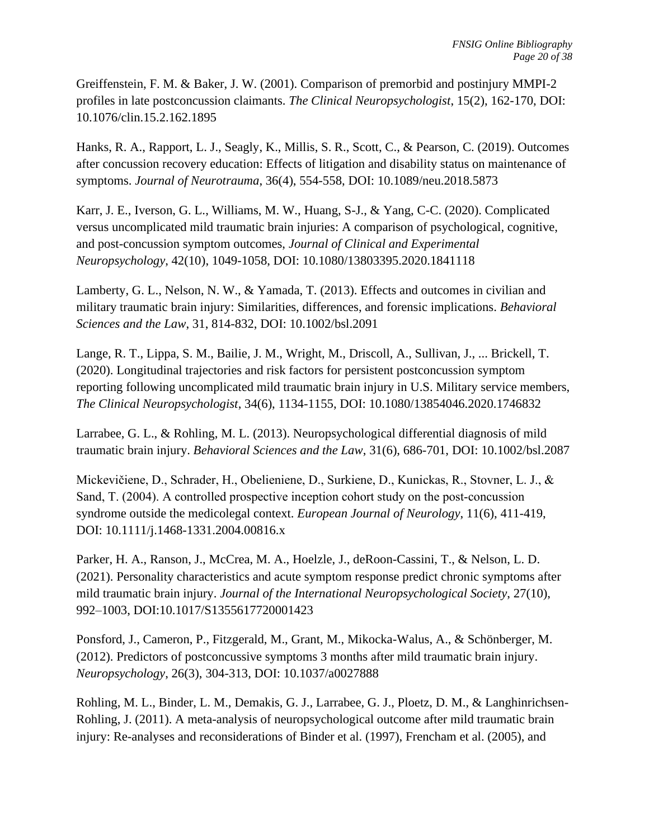Greiffenstein, F. M. & Baker, J. W. (2001). Comparison of premorbid and postinjury MMPI-2 profiles in late postconcussion claimants. *The Clinical Neuropsychologist*, 15(2), 162-170, DOI: 10.1076/clin.15.2.162.1895

Hanks, R. A., Rapport, L. J., Seagly, K., Millis, S. R., Scott, C., & Pearson, C. (2019). Outcomes after concussion recovery education: Effects of litigation and disability status on maintenance of symptoms. *Journal of Neurotrauma*, 36(4), 554-558, DOI: 10.1089/neu.2018.5873

Karr, J. E., Iverson, G. L., Williams, M. W., Huang, S-J., & Yang, C-C. (2020). Complicated versus uncomplicated mild traumatic brain injuries: A comparison of psychological, cognitive, and post-concussion symptom outcomes, *Journal of Clinical and Experimental Neuropsychology*, 42(10), 1049-1058, DOI: 10.1080/13803395.2020.1841118

Lamberty, G. L., Nelson, N. W., & Yamada, T. (2013). Effects and outcomes in civilian and military traumatic brain injury: Similarities, differences, and forensic implications. *Behavioral Sciences and the Law*, 31, 814-832, DOI: [10.1002/bsl.2091](https://doi.org/10.1002/bsl.2091)

Lange, R. T., Lippa, S. M., Bailie, J. M., Wright, M., Driscoll, A., Sullivan, J., ... Brickell, T. (2020). Longitudinal trajectories and risk factors for persistent postconcussion symptom reporting following uncomplicated mild traumatic brain injury in U.S. Military service members, *The Clinical Neuropsychologist*, 34(6), 1134-1155, DOI: 10.1080/13854046.2020.1746832

Larrabee, G. L., & Rohling, M. L. (2013). Neuropsychological differential diagnosis of mild traumatic brain injury. *Behavioral Sciences and the Law*, 31(6), 686-701, DOI: 10.1002/bsl.2087

Mickevičiene, D., Schrader, H., Obelieniene, D., Surkiene, D., Kunickas, R., Stovner, L. J., & Sand, T. (2004). A controlled prospective inception cohort study on the post-concussion syndrome outside the medicolegal context. *European Journal of Neurology*, 11(6), 411-419, DOI: 10.1111/j.1468-1331.2004.00816.x

Parker, H. A., Ranson, J., McCrea, M. A., Hoelzle, J., deRoon-Cassini, T., & Nelson, L. D. (2021). Personality characteristics and acute symptom response predict chronic symptoms after mild traumatic brain injury. *Journal of the International Neuropsychological Society*, 27(10), 992–1003, DOI:10.1017/S1355617720001423

Ponsford, J., Cameron, P., Fitzgerald, M., Grant, M., Mikocka-Walus, A., & Schönberger, M. (2012). Predictors of postconcussive symptoms 3 months after mild traumatic brain injury. *Neuropsychology*, 26(3), 304-313, DOI: 10.1037/a0027888

Rohling, M. L., Binder, L. M., Demakis, G. J., Larrabee, G. J., Ploetz, D. M., & Langhinrichsen-Rohling, J. (2011). A meta-analysis of neuropsychological outcome after mild traumatic brain injury: Re-analyses and reconsiderations of Binder et al. (1997), Frencham et al. (2005), and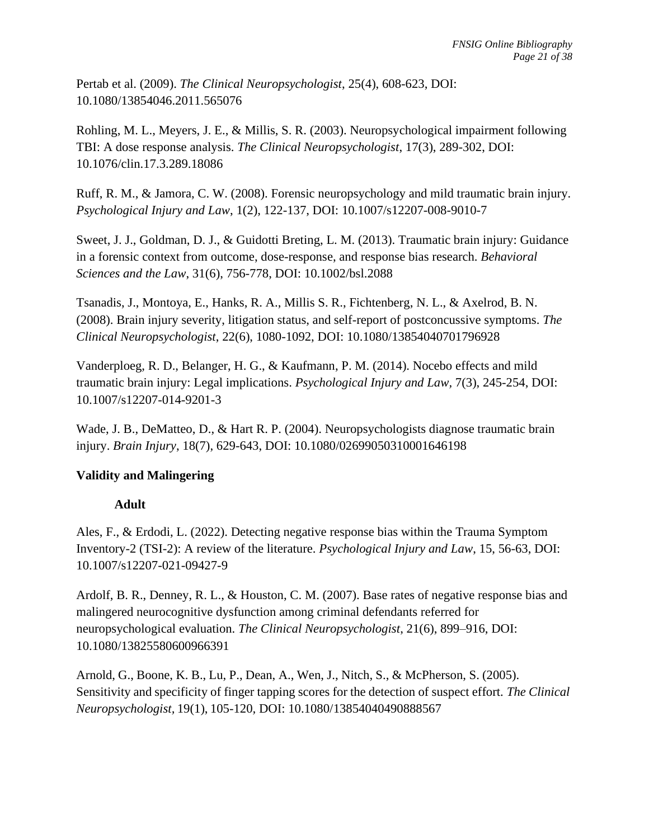Pertab et al. (2009). *The Clinical Neuropsychologist*, 25(4), 608-623, DOI: [10.1080/13854046.2011.565076](https://doi.org/10.1080/13854046.2011.565076)

Rohling, M. L., Meyers, J. E., & Millis, S. R. (2003). Neuropsychological impairment following TBI: A dose response analysis. *The Clinical Neuropsychologist*, 17(3), 289-302, DOI: [10.1076/clin.17.3.289.18086](https://psycnet.apa.org/doi/10.1076/clin.17.3.289.18086)

Ruff, R. M., & Jamora, C. W. (2008). Forensic neuropsychology and mild traumatic brain injury. *Psychological Injury and Law*, 1(2), 122-137, DOI: [10.1007/s12207-008-9010-7](https://psycnet.apa.org/doi/10.1007/s12207-008-9010-7)

Sweet, J. J., Goldman, D. J., & Guidotti Breting, L. M. (2013). Traumatic brain injury: Guidance in a forensic context from outcome, dose-response, and response bias research. *Behavioral Sciences and the Law*, 31(6), 756-778, DOI: 10.1002/bsl.2088

Tsanadis, J., Montoya, E., Hanks, R. A., Millis S. R., Fichtenberg, N. L., & Axelrod, B. N. (2008). Brain injury severity, litigation status, and self-report of postconcussive symptoms. *The Clinical Neuropsychologist*, 22(6), 1080-1092, DOI: [10.1080/13854040701796928](https://psycnet.apa.org/doi/10.1080/13854040701796928)

Vanderploeg, R. D., Belanger, H. G., & Kaufmann, P. M. (2014). Nocebo effects and mild traumatic brain injury: Legal implications. *Psychological Injury and Law,* 7(3), 245-254, DOI: [10.1007/s12207-014-9201-3](https://psycnet.apa.org/doi/10.1007/s12207-014-9201-3)

Wade, J. B., DeMatteo, D., & Hart R. P. (2004). Neuropsychologists diagnose traumatic brain injury. *Brain Injury*, 18(7), 629-643, DOI: 10.1080/02699050310001646198

# **Validity and Malingering**

# **Adult**

Ales, F., & Erdodi, L. (2022). Detecting negative response bias within the Trauma Symptom Inventory-2 (TSI-2): A review of the literature. *Psychological Injury and Law*, 15, 56-63, DOI: 10.1007/s12207-021-09427-9

Ardolf, B. R., Denney, R. L., & Houston, C. M. (2007). Base rates of negative response bias and malingered neurocognitive dysfunction among criminal defendants referred for neuropsychological evaluation. *The Clinical Neuropsychologist*, 21(6), 899–916, DOI: 10.1080/13825580600966391

Arnold, G., Boone, K. B., Lu, P., Dean, A., Wen, J., Nitch, S., & McPherson, S. (2005). Sensitivity and specificity of finger tapping scores for the detection of suspect effort. *The Clinical Neuropsychologist,* 19(1), 105-120*,* DOI: [10.1080/13854040490888567](https://doi.org/10.1080/13854040490888567)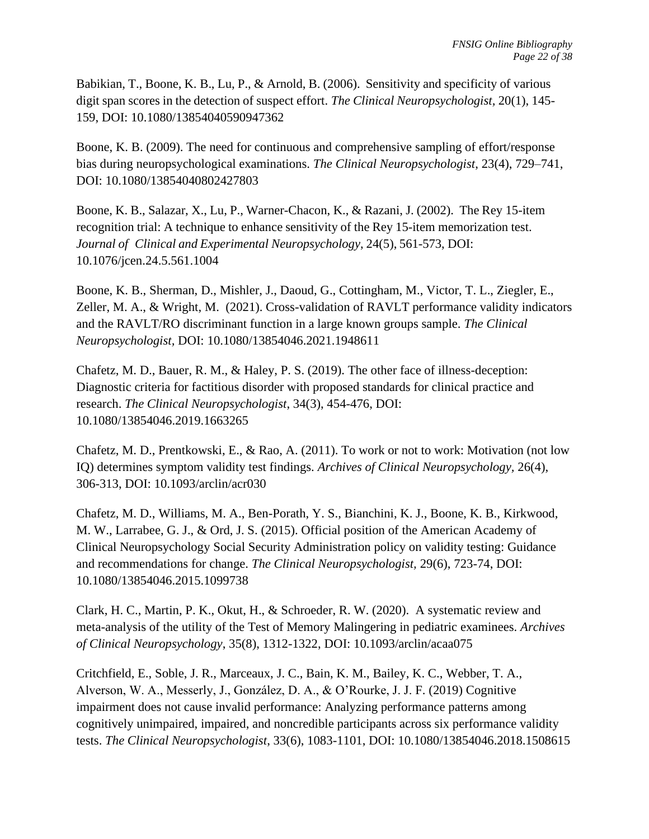Babikian, T., Boone, K. B., Lu, P., & Arnold, B. (2006). Sensitivity and specificity of various digit span scores in the detection of suspect effort. *The Clinical Neuropsychologist,* 20(1), 145- 159, DOI: [10.1080/13854040590947362](https://doi.org/10.1080/13854040590947362)

Boone, K. B. (2009). The need for continuous and comprehensive sampling of effort/response bias during neuropsychological examinations. *The Clinical Neuropsychologist*, 23(4), 729–741, DOI: [10.1080/13854040802427803](https://psycnet.apa.org/doi/10.1080/13854040802427803)

Boone, K. B., Salazar, X., Lu, P., Warner-Chacon, K., & Razani, J. (2002). The Rey 15-item recognition trial: A technique to enhance sensitivity of the Rey 15-item memorization test. *Journal of Clinical and Experimental Neuropsychology*, 24(5), 561-573, DOI: [10.1076/jcen.24.5.561.1004](https://doi.org/10.1076/jcen.24.5.561.1004)

Boone, K. B., Sherman, D., Mishler, J., Daoud, G., Cottingham, M., Victor, T. L., Ziegler, E., Zeller, M. A., & Wright, M. (2021). Cross-validation of RAVLT performance validity indicators and the RAVLT/RO discriminant function in a large known groups sample. *The Clinical Neuropsychologist,* DOI: [10.1080/13854046.2021.1948611](https://doi.org/10.1080/13854046.2021.1948611)

Chafetz, M. D., Bauer, R. M., & Haley, P. S. (2019). The other face of illness-deception: Diagnostic criteria for factitious disorder with proposed standards for clinical practice and research. *The Clinical Neuropsychologist*, 34(3), 454-476, DOI: 10.1080/13854046.2019.1663265

Chafetz, M. D., Prentkowski, E., & Rao, A. (2011). To work or not to work: Motivation (not low IQ) determines symptom validity test findings. *Archives of Clinical Neuropsychology,* 26(4), 306-313, DOI: [10.1093/arclin/acr030](https://doi.org/10.1093/arclin/acr030)

Chafetz, M. D., Williams, M. A., Ben-Porath, Y. S., Bianchini, K. J., Boone, K. B., Kirkwood, M. W., Larrabee, G. J., & Ord, J. S. (2015). Official position of the American Academy of Clinical Neuropsychology Social Security Administration policy on validity testing: Guidance and recommendations for change. *The Clinical Neuropsychologist,* 29(6), 723-74, DOI: [10.1080/13854046.2015.1099738](https://doi.org/10.1080/13854046.2015.1099738)

Clark, H. C., Martin, P. K., Okut, H., & Schroeder, R. W. (2020). A systematic review and meta-analysis of the utility of the Test of Memory Malingering in pediatric examinees. *Archives of Clinical Neuropsychology*, 35(8), 1312-1322, DOI: 10.1093/arclin/acaa075

Critchfield, E., Soble, J. R., Marceaux, J. C., Bain, K. M., Bailey, K. C., Webber, T. A., Alverson, W. A., Messerly, J., González, D. A., & O'Rourke, J. J. F. (2019) Cognitive impairment does not cause invalid performance: Analyzing performance patterns among cognitively unimpaired, impaired, and noncredible participants across six performance validity tests. *The Clinical Neuropsychologist*, 33(6), 1083-1101, DOI: 10.1080/13854046.2018.1508615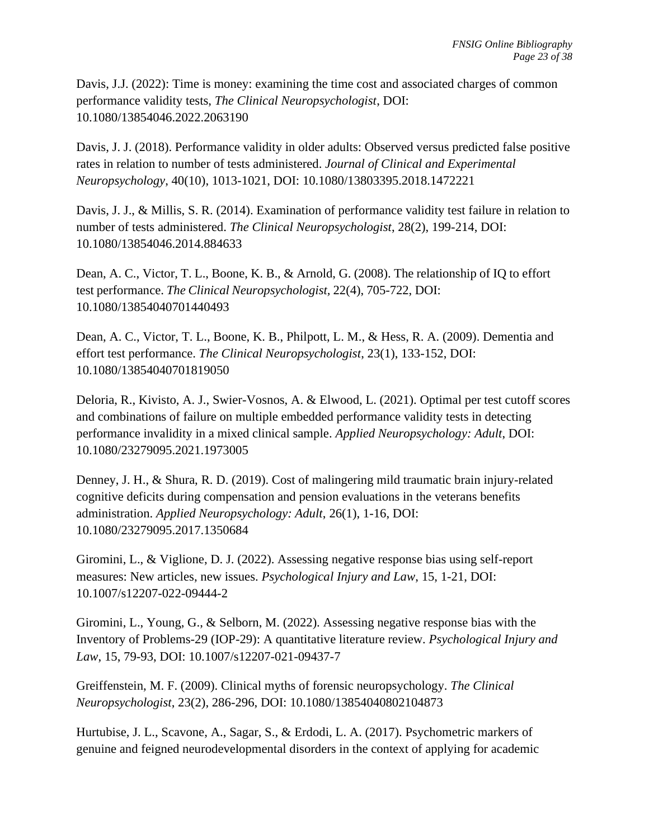Davis, J.J. (2022): Time is money: examining the time cost and associated charges of common performance validity tests, *The Clinical Neuropsychologist*, DOI: 10.1080/13854046.2022.2063190

Davis, J. J. (2018). Performance validity in older adults: Observed versus predicted false positive rates in relation to number of tests administered. *Journal of Clinical and Experimental Neuropsychology*, 40(10), 1013-1021, DOI: [10.1080/13803395.2018.1472221](https://doi.org/10.1080%2F13803395.2018.1472221)

Davis, J. J., & Millis, S. R. (2014). Examination of performance validity test failure in relation to number of tests administered. *The Clinical Neuropsychologist*, 28(2), 199-214, DOI: 10.1080/13854046.2014.884633

Dean, A. C., Victor, T. L., Boone, K. B., & Arnold, G. (2008). The relationship of IQ to effort test performance. *The Clinical Neuropsychologist,* 22(4), 705-722, DOI: [10.1080/13854040701440493](https://psycnet.apa.org/doi/10.1080/13854040701440493)

Dean, A. C., Victor, T. L., Boone, K. B., Philpott, L. M., & Hess, R. A. (2009). Dementia and effort test performance. *The Clinical Neuropsychologist*, 23(1), 133-152, DOI: [10.1080/13854040701819050](https://psycnet.apa.org/doi/10.1080/13854040701819050)

Deloria, R., Kivisto, A. J., Swier-Vosnos, A. & Elwood, L. (2021). Optimal per test cutoff scores and combinations of failure on multiple embedded performance validity tests in detecting performance invalidity in a mixed clinical sample. *Applied Neuropsychology: Adult*, DOI: 10.1080/23279095.2021.1973005

Denney, J. H., & Shura, R. D. (2019). Cost of malingering mild traumatic brain injury-related cognitive deficits during compensation and pension evaluations in the veterans benefits administration. *Applied Neuropsychology: Adult*, 26(1), 1-16, DOI: 10.1080/23279095.2017.1350684

Giromini, L., & Viglione, D. J. (2022). Assessing negative response bias using self-report measures: New articles, new issues. *Psychological Injury and Law*, 15, 1-21, DOI: 10.1007/s12207-022-09444-2

Giromini, L., Young, G., & Selborn, M. (2022). Assessing negative response bias with the Inventory of Problems-29 (IOP-29): A quantitative literature review. *Psychological Injury and Law*, 15, 79-93, DOI: 10.1007/s12207-021-09437-7

Greiffenstein, M. F. (2009). Clinical myths of forensic neuropsychology. *The Clinical Neuropsychologist*, 23(2), 286-296, DOI: [10.1080/13854040802104873](https://psycnet.apa.org/doi/10.1080/13854040802104873)

Hurtubise, J. L., Scavone, A., Sagar, S., & Erdodi, L. A. (2017). Psychometric markers of genuine and feigned neurodevelopmental disorders in the context of applying for academic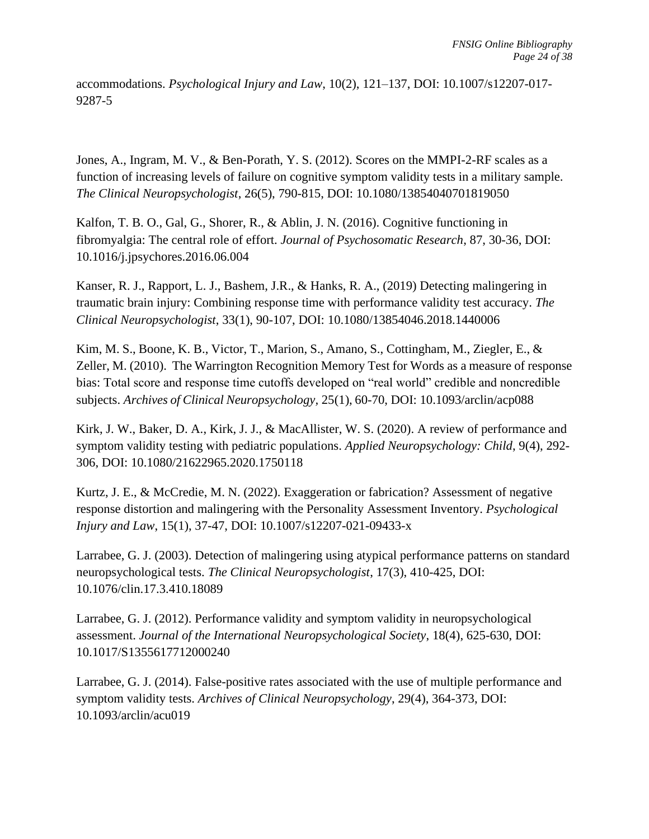accommodations. *Psychological Injury and Law*, 10(2), 121–137, DOI: [10.1007/s12207-017-](https://psycnet.apa.org/doi/10.1007/s12207-017-9287-5) [9287-5](https://psycnet.apa.org/doi/10.1007/s12207-017-9287-5)

Jones, A., Ingram, M. V., & Ben-Porath, Y. S. (2012). Scores on the MMPI-2-RF scales as a function of increasing levels of failure on cognitive symptom validity tests in a military sample. *The Clinical Neuropsychologist*, 26(5), 790-815, DOI: [10.1080/13854040701819050](https://psycnet.apa.org/doi/10.1080/13854040701819050)

Kalfon, T. B. O., Gal, G., Shorer, R., & Ablin, J. N. (2016). Cognitive functioning in fibromyalgia: The central role of effort. *Journal of Psychosomatic Research*, 87, 30-36, DOI: 10.1016/j.jpsychores.2016.06.004

Kanser, R. J., Rapport, L. J., Bashem, J.R., & Hanks, R. A., (2019) Detecting malingering in traumatic brain injury: Combining response time with performance validity test accuracy. *The Clinical Neuropsychologist*, 33(1), 90-107, DOI: 10.1080/13854046.2018.1440006

Kim, M. S., Boone, K. B., Victor, T., Marion, S., Amano, S., Cottingham, M., Ziegler, E., & Zeller, M. (2010). The Warrington Recognition Memory Test for Words as a measure of response bias: Total score and response time cutoffs developed on "real world" credible and noncredible subjects. *Archives of Clinical Neuropsychology,* 25(1), 60-70, DOI: [10.1093/arclin/acp088](https://doi.org/10.1093/arclin/acp088)

Kirk, J. W., Baker, D. A., Kirk, J. J., & MacAllister, W. S. (2020). A review of performance and symptom validity testing with pediatric populations. *Applied Neuropsychology: Child*, 9(4), 292- 306, DOI: 10.1080/21622965.2020.1750118

Kurtz, J. E., & McCredie, M. N. (2022). Exaggeration or fabrication? Assessment of negative response distortion and malingering with the Personality Assessment Inventory. *Psychological Injury and Law*, 15(1), 37-47, DOI: 10.1007/s12207-021-09433-x

Larrabee, G. J. (2003). Detection of malingering using atypical performance patterns on standard neuropsychological tests. *The Clinical Neuropsychologist*, 17(3), 410-425, DOI: [10.1076/clin.17.3.410.18089](https://doi.org/10.1076/clin.17.3.410.18089)

Larrabee, G. J. (2012). Performance validity and symptom validity in neuropsychological assessment. *Journal of the International Neuropsychological Society*, 18(4), 625-630, DOI: [10.1017/S1355617712000240](https://doi.org/10.1017/S1355617712000240)

Larrabee, G. J. (2014). False-positive rates associated with the use of multiple performance and symptom validity tests. *Archives of Clinical Neuropsychology*, 29(4), 364-373, DOI: [10.1093/arclin/acu019](https://doi.org/10.1093/arclin/acu019)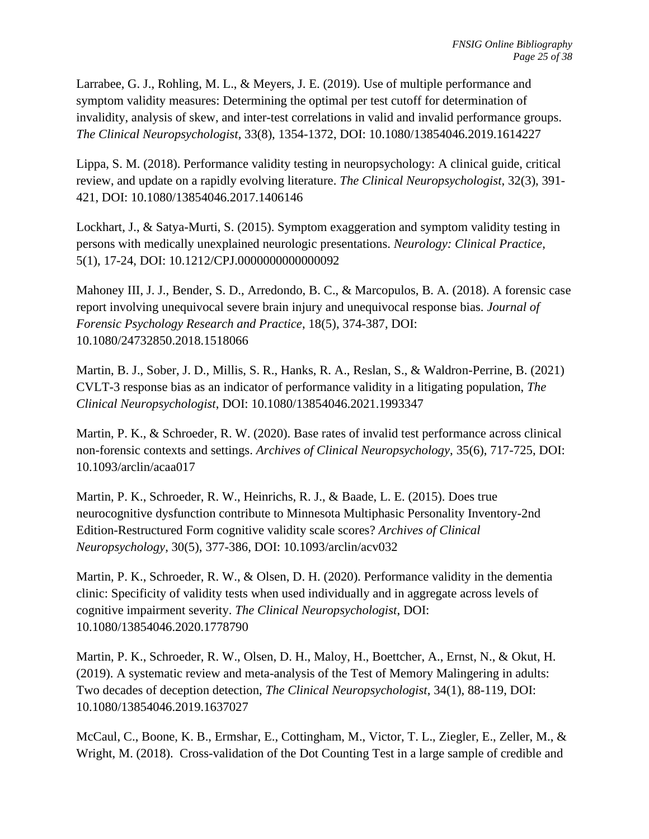Larrabee, G. J., Rohling, M. L., & Meyers, J. E. (2019). Use of multiple performance and symptom validity measures: Determining the optimal per test cutoff for determination of invalidity, analysis of skew, and inter-test correlations in valid and invalid performance groups. *The Clinical Neuropsychologist*, 33(8), 1354-1372, DOI: 10.1080/13854046.2019.1614227

Lippa, S. M. (2018). Performance validity testing in neuropsychology: A clinical guide, critical review, and update on a rapidly evolving literature. *The Clinical Neuropsychologist*, 32(3), 391- 421, DOI: 10.1080/13854046.2017.1406146

Lockhart, J., & Satya-Murti, S. (2015). Symptom exaggeration and symptom validity testing in persons with medically unexplained neurologic presentations. *Neurology: Clinical Practice*, 5(1), 17-24, DOI: [10.1212/CPJ.0000000000000092](https://doi.org/10.1212%2FCPJ.0000000000000092)

Mahoney III, J. J., Bender, S. D., Arredondo, B. C., & Marcopulos, B. A. (2018). A forensic case report involving unequivocal severe brain injury and unequivocal response bias. *Journal of Forensic Psychology Research and Practice*, 18(5), 374-387, DOI: [10.1080/24732850.2018.1518066](https://psycnet.apa.org/doi/10.1080/24732850.2018.1518066)

Martin, B. J., Sober, J. D., Millis, S. R., Hanks, R. A., Reslan, S., & Waldron-Perrine, B. (2021) CVLT-3 response bias as an indicator of performance validity in a litigating population, *The Clinical Neuropsychologist*, DOI: 10.1080/13854046.2021.1993347

Martin, P. K., & Schroeder, R. W. (2020). Base rates of invalid test performance across clinical non-forensic contexts and settings. *Archives of Clinical Neuropsychology*, 35(6), 717-725, DOI: [10.1093/arclin/acaa017](https://psycnet.apa.org/doi/10.1093/arclin/acaa017)

Martin, P. K., Schroeder, R. W., Heinrichs, R. J., & Baade, L. E. (2015). Does true neurocognitive dysfunction contribute to Minnesota Multiphasic Personality Inventory-2nd Edition-Restructured Form cognitive validity scale scores? *Archives of Clinical Neuropsychology*, 30(5), 377-386, DOI: [10.1093/arclin/acv032](https://psycnet.apa.org/doi/10.1093/arclin/acv032)

Martin, P. K., Schroeder, R. W., & Olsen, D. H. (2020). Performance validity in the dementia clinic: Specificity of validity tests when used individually and in aggregate across levels of cognitive impairment severity. *The Clinical Neuropsychologist*, DOI: 10.1080/13854046.2020.1778790

Martin, P. K., Schroeder, R. W., Olsen, D. H., Maloy, H., Boettcher, A., Ernst, N., & Okut, H. (2019). A systematic review and meta-analysis of the Test of Memory Malingering in adults: Two decades of deception detection, *The Clinical Neuropsychologist*, 34(1), 88-119, DOI: 10.1080/13854046.2019.1637027

McCaul, C., Boone, K. B., Ermshar, E., Cottingham, M., Victor, T. L., Ziegler, E., Zeller, M., & Wright, M. (2018). Cross-validation of the Dot Counting Test in a large sample of credible and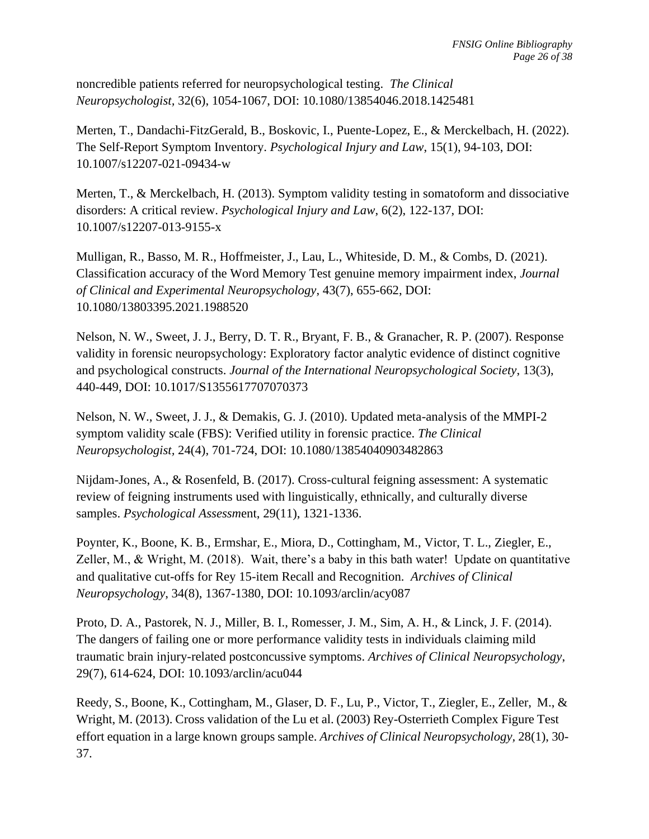noncredible patients referred for neuropsychological testing. *The Clinical Neuropsychologist,* 32(6), 1054-1067, DOI: [10.1080/13854046.2018.1425481](https://psycnet.apa.org/doi/10.1080/13854046.2018.1425481)

Merten, T., Dandachi-FitzGerald, B., Boskovic, I., Puente-Lopez, E., & Merckelbach, H. (2022). The Self-Report Symptom Inventory. *Psychological Injury and Law*, 15(1), 94-103, DOI: 10.1007/s12207-021-09434-w

Merten, T., & Merckelbach, H. (2013). Symptom validity testing in somatoform and dissociative disorders: A critical review. *Psychological Injury and Law*, 6(2), 122-137, DOI: [10.1007/s12207-013-9155-x](https://psycnet.apa.org/doi/10.1007/s12207-013-9155-x)

Mulligan, R., Basso, M. R., Hoffmeister, J., Lau, L., Whiteside, D. M., & Combs, D. (2021). Classification accuracy of the Word Memory Test genuine memory impairment index, *Journal of Clinical and Experimental Neuropsychology*, 43(7), 655-662, DOI: 10.1080/13803395.2021.1988520

Nelson, N. W., Sweet, J. J., Berry, D. T. R., Bryant, F. B., & Granacher, R. P. (2007). Response validity in forensic neuropsychology: Exploratory factor analytic evidence of distinct cognitive and psychological constructs. *Journal of the International Neuropsychological Society*, 13(3), 440-449, DOI: [10.1017/S1355617707070373](https://psycnet.apa.org/doi/10.1017/S1355617707070373)

Nelson, N. W., Sweet, J. J., & Demakis, G. J. (2010). Updated meta-analysis of the MMPI-2 symptom validity scale (FBS): Verified utility in forensic practice. *The Clinical Neuropsychologist,* 24(4), 701-724, DOI: 10.1080/13854040903482863

Nijdam-Jones, A., & Rosenfeld, B. (2017). Cross-cultural feigning assessment: A systematic review of feigning instruments used with linguistically, ethnically, and culturally diverse samples. *Psychological Assessm*ent, 29(11), 1321-1336.

Poynter, K., Boone, K. B., Ermshar, E., Miora, D., Cottingham, M., Victor, T. L., Ziegler, E., Zeller, M., & Wright, M. (2018). Wait, there's a baby in this bath water! Update on quantitative and qualitative cut-offs for Rey 15-item Recall and Recognition. *Archives of Clinical Neuropsychology*, 34(8), 1367-1380, DOI: 10.1093/arclin/acy087

Proto, D. A., Pastorek, N. J., Miller, B. I., Romesser, J. M., Sim, A. H., & Linck, J. F. (2014). The dangers of failing one or more performance validity tests in individuals claiming mild traumatic brain injury-related postconcussive symptoms. *Archives of Clinical Neuropsychology*, 29(7), 614-624, DOI: [10.1093/arclin/acu044](https://psycnet.apa.org/doi/10.1093/arclin/acu044)

Reedy, S., Boone, K., Cottingham, M., Glaser, D. F., Lu, P., Victor, T., Ziegler, E., Zeller, M., & Wright, M. (2013). Cross validation of the Lu et al. (2003) Rey-Osterrieth Complex Figure Test effort equation in a large known groups sample. *Archives of Clinical Neuropsychology,* 28(1), 30- 37.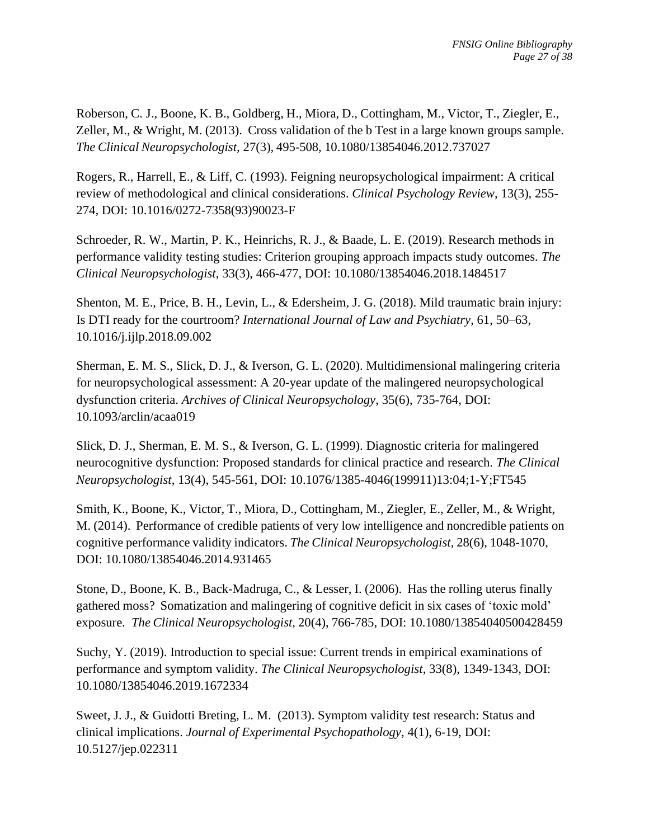Roberson, C. J., Boone, K. B., Goldberg, H., Miora, D., Cottingham, M., Victor, T., Ziegler, E., Zeller, M., & Wright, M. (2013). Cross validation of the b Test in a large known groups sample. *The Clinical Neuropsychologist,* 27(3)*,* 495-508, [10.1080/13854046.2012.737027](https://psycnet.apa.org/doi/10.1080/13854046.2012.737027)

Rogers, R., Harrell, E., & Liff, C. (1993). Feigning neuropsychological impairment: A critical review of methodological and clinical considerations. *Clinical Psychology Review*, 13(3), 255- 274, DOI: [10.1016/0272-7358\(93\)90023-F](https://doi.org/10.1016/0272-7358(93)90023-F)

Schroeder, R. W., Martin, P. K., Heinrichs, R. J., & Baade, L. E. (2019). Research methods in performance validity testing studies: Criterion grouping approach impacts study outcomes. *The Clinical Neuropsychologist*, 33(3), 466-477, DOI: [10.1080/13854046.2018.1484517](https://psycnet.apa.org/doi/10.1080/13854046.2018.1484517)

Shenton, M. E., Price, B. H., Levin, L., & Edersheim, J. G. (2018). Mild traumatic brain injury: Is DTI ready for the courtroom? *International Journal of Law and Psychiatry*, 61, 50–63, 10.1016/j.ijlp.2018.09.002

Sherman, E. M. S., Slick, D. J., & Iverson, G. L. (2020). Multidimensional malingering criteria for neuropsychological assessment: A 20-year update of the malingered neuropsychological dysfunction criteria. *Archives of Clinical Neuropsychology*, 35(6), 735-764, DOI: [10.1093/arclin/acaa019](https://doi.org/10.1093/arclin/acaa019)

Slick, D. J., Sherman, E. M. S., & Iverson, G. L. (1999). Diagnostic criteria for malingered neurocognitive dysfunction: Proposed standards for clinical practice and research. *The Clinical Neuropsychologist*, 13(4), 545-561, DOI: [10.1076/1385-4046\(199911\)13:04;1-Y;FT545](https://doi.org/10.1076/1385-4046(199911)13:04;1-y;ft545)

Smith, K., Boone, K., Victor, T., Miora, D., Cottingham, M., Ziegler, E., Zeller, M., & Wright, M. (2014). Performance of credible patients of very low intelligence and noncredible patients on cognitive performance validity indicators. *The Clinical Neuropsychologist*, 28(6), 1048-1070, DOI: [10.1080/13854046.2014.931465](https://psycnet.apa.org/doi/10.1080/13854046.2014.931465)

Stone, D., Boone, K. B., Back-Madruga, C., & Lesser, I. (2006). Has the rolling uterus finally gathered moss? Somatization and malingering of cognitive deficit in six cases of 'toxic mold' exposure. *The Clinical Neuropsychologist,* 20(4), 766-785, DOI: [10.1080/13854040500428459](https://doi.org/10.1080/13854040500428459)

Suchy, Y. (2019). Introduction to special issue: Current trends in empirical examinations of performance and symptom validity. *The Clinical Neuropsychologist*, 33(8), 1349-1343, DOI: 10.1080/13854046.2019.1672334

Sweet, J. J., & Guidotti Breting, L. M. (2013). Symptom validity test research: Status and clinical implications. *Journal of Experimental Psychopathology*, 4(1), 6-19, DOI: [10.5127/jep.022311](https://doi.org/10.5127%2Fjep.022311)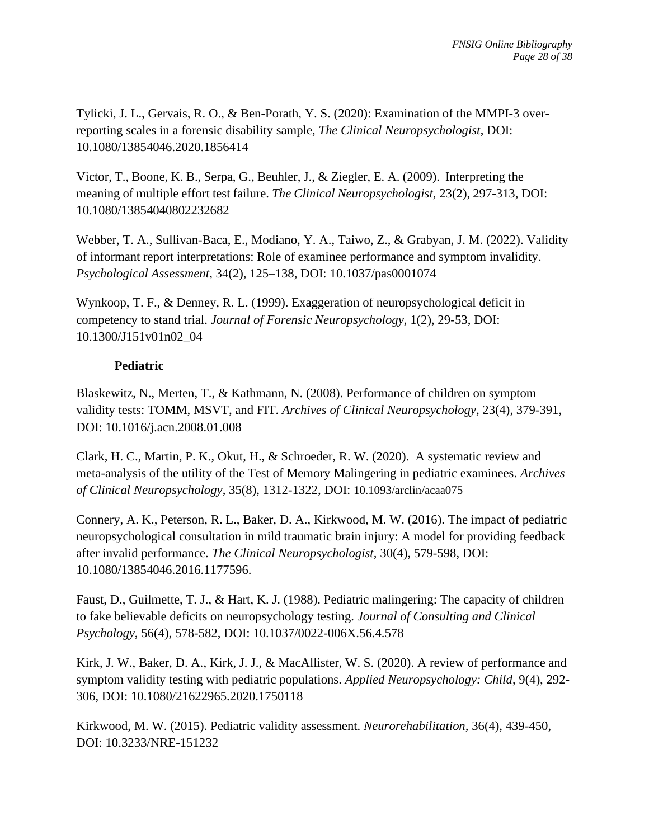Tylicki, J. L., Gervais, R. O., & Ben-Porath, Y. S. (2020): Examination of the MMPI-3 overreporting scales in a forensic disability sample, *The Clinical Neuropsychologist*, DOI: 10.1080/13854046.2020.1856414

Victor, T., Boone, K. B., Serpa, G., Beuhler, J., & Ziegler, E. A. (2009). Interpreting the meaning of multiple effort test failure. *The Clinical Neuropsychologist,* 23(2), 297-313, DOI: [10.1080/13854040802232682](https://doi.org/10.1080/13854040802232682)

Webber, T. A., Sullivan-Baca, E., Modiano, Y. A., Taiwo, Z., & Grabyan, J. M. (2022). Validity of informant report interpretations: Role of examinee performance and symptom invalidity. *Psychological Assessment,* 34(2), 125–138*,* [DOI: 10.1037/pas0001074](http://dx.doi.org/10.1037/pas0001074)

Wynkoop, T. F., & Denney, R. L. (1999). Exaggeration of neuropsychological deficit in competency to stand trial. *Journal of Forensic Neuropsychology,* 1(2), 29-53, DOI: [10.1300/J151v01n02\\_04](https://psycnet.apa.org/doi/10.1300/J151v01n02_04)

### **Pediatric**

Blaskewitz, N., Merten, T., & Kathmann, N. (2008). Performance of children on symptom validity tests: TOMM, MSVT, and FIT. *Archives of Clinical Neuropsychology*, 23(4), 379-391, DOI: 10.1016/j.acn.2008.01.008

Clark, H. C., Martin, P. K., Okut, H., & Schroeder, R. W. (2020). A systematic review and meta-analysis of the utility of the Test of Memory Malingering in pediatric examinees. *Archives of Clinical Neuropsychology*, 35(8), 1312-1322, DOI: [10.1093/arclin/acaa075](http://dx.doi.org/10.1093/arclin/acaa075)

Connery, A. K., Peterson, R. L., Baker, D. A., Kirkwood, M. W. (2016). The impact of pediatric neuropsychological consultation in mild traumatic brain injury: A model for providing feedback after invalid performance. *The Clinical Neuropsychologist,* 30(4), 579-598, DOI: 10.1080/13854046.2016.1177596.

Faust, D., Guilmette, T. J., & Hart, K. J. (1988). Pediatric malingering: The capacity of children to fake believable deficits on neuropsychology testing. *Journal of Consulting and Clinical Psychology*, 56(4), 578-582, DOI: 10.1037/0022-006X.56.4.578

Kirk, J. W., Baker, D. A., Kirk, J. J., & MacAllister, W. S. (2020). A review of performance and symptom validity testing with pediatric populations. *Applied Neuropsychology: Child*, 9(4), 292- 306, DOI: 10.1080/21622965.2020.1750118

Kirkwood, M. W. (2015). Pediatric validity assessment. *Neurorehabilitation,* 36(4), 439-450, DOI: 10.3233/NRE-151232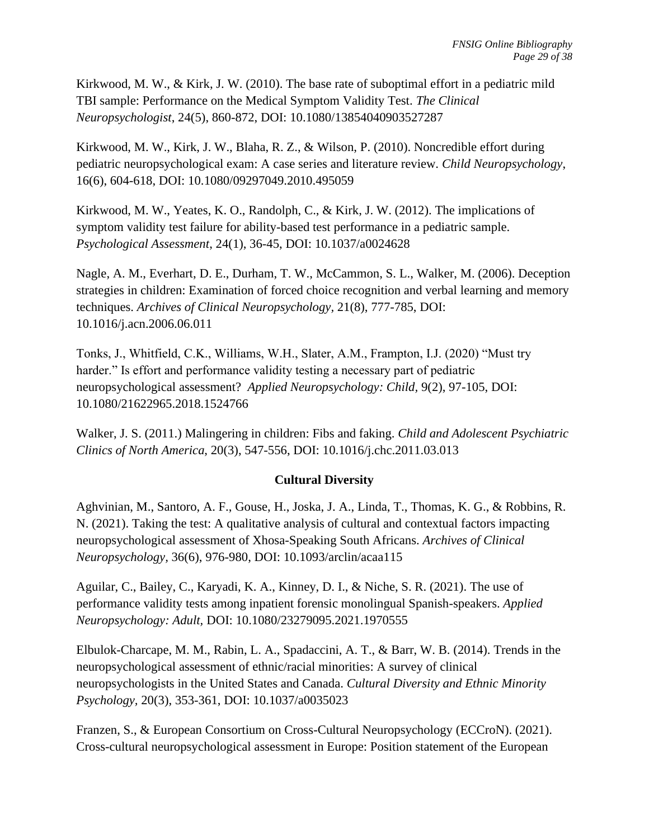Kirkwood, M. W., & Kirk, J. W. (2010). The base rate of suboptimal effort in a pediatric mild TBI sample: Performance on the Medical Symptom Validity Test. *The Clinical Neuropsychologist*, 24(5), 860-872, DOI: 10.1080/13854040903527287

Kirkwood, M. W., Kirk, J. W., Blaha, R. Z., & Wilson, P. (2010). Noncredible effort during pediatric neuropsychological exam: A case series and literature review. *Child Neuropsychology*, 16(6), 604-618, DOI: 10.1080/09297049.2010.495059

Kirkwood, M. W., Yeates, K. O., Randolph, C., & Kirk, J. W. (2012). The implications of symptom validity test failure for ability-based test performance in a pediatric sample. *Psychological Assessment*, 24(1), 36-45, DOI: 10.1037/a0024628

Nagle, A. M., Everhart, D. E., Durham, T. W., McCammon, S. L., Walker, M. (2006). Deception strategies in children: Examination of forced choice recognition and verbal learning and memory techniques. *Archives of Clinical Neuropsychology,* 21(8), 777-785, DOI: 10.1016/j.acn.2006.06.011

Tonks, J., Whitfield, C.K., Williams, W.H., Slater, A.M., Frampton, I.J. (2020) "Must try harder." Is effort and performance validity testing a necessary part of pediatric neuropsychological assessment? *Applied Neuropsychology: Child,* 9(2), 97-105, DOI: 10.1080/21622965.2018.1524766

Walker, J. S. (2011.) Malingering in children: Fibs and faking. *Child and Adolescent Psychiatric Clinics of North America*, 20(3), 547-556, DOI: 10.1016/j.chc.2011.03.013

# **Cultural Diversity**

Aghvinian, M., Santoro, A. F., Gouse, H., Joska, J. A., Linda, T., Thomas, K. G., & Robbins, R. N. (2021). Taking the test: A qualitative analysis of cultural and contextual factors impacting neuropsychological assessment of Xhosa-Speaking South Africans. *Archives of Clinical Neuropsychology,* 36(6), 976-980, DOI: 10.1093/arclin/acaa115

Aguilar, C., Bailey, C., Karyadi, K. A., Kinney, D. I., & Niche, S. R. (2021). The use of performance validity tests among inpatient forensic monolingual Spanish-speakers. *Applied Neuropsychology: Adult,* DOI: 10.1080/23279095.2021.1970555

Elbulok-Charcape, M. M., Rabin, L. A., Spadaccini, A. T., & Barr, W. B. (2014). Trends in the neuropsychological assessment of ethnic/racial minorities: A survey of clinical neuropsychologists in the United States and Canada. *Cultural Diversity and Ethnic Minority Psychology,* 20(3), 353-361, DOI: 10.1037/a0035023

Franzen, S., & European Consortium on Cross-Cultural Neuropsychology (ECCroN). (2021). Cross-cultural neuropsychological assessment in Europe: Position statement of the European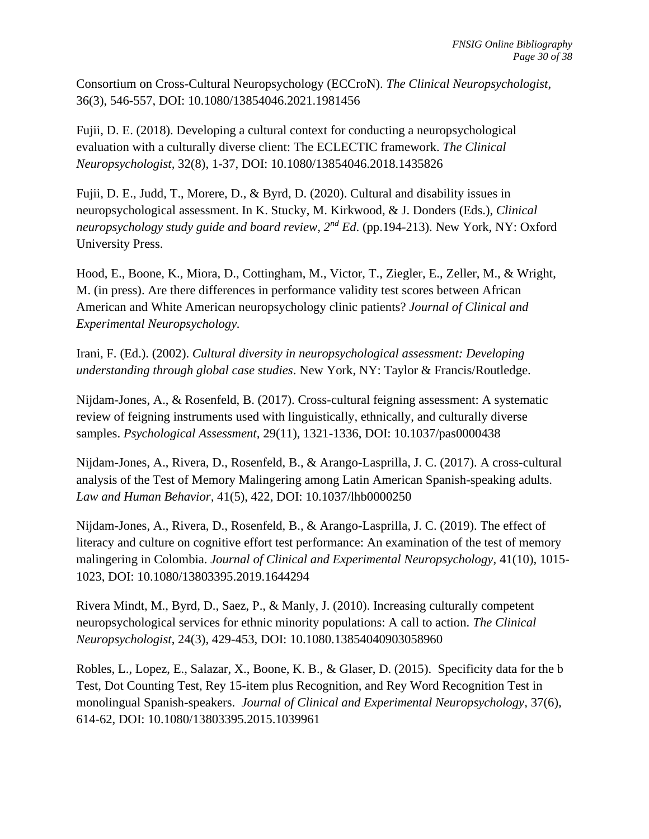Consortium on Cross-Cultural Neuropsychology (ECCroN). *The Clinical Neuropsychologist*, 36(3), 546-557, DOI: 10.1080/13854046.2021.1981456

Fujii, D. E. (2018). Developing a cultural context for conducting a neuropsychological evaluation with a culturally diverse client: The ECLECTIC framework. *The Clinical Neuropsychologist,* 32(8), 1-37, DOI: 10.1080/13854046.2018.1435826

Fujii, D. E., Judd, T., Morere, D., & Byrd, D. (2020). Cultural and disability issues in neuropsychological assessment. In K. Stucky, M. Kirkwood, & J. Donders (Eds.), *Clinical neuropsychology study guide and board review,*  $2^{nd} Ed$ *.* (pp.194-213). New York, NY: Oxford University Press.

Hood, E., Boone, K., Miora, D., Cottingham, M., Victor, T., Ziegler, E., Zeller, M., & Wright, M. (in press). Are there differences in performance validity test scores between African American and White American neuropsychology clinic patients? *Journal of Clinical and Experimental Neuropsychology.* 

Irani, F. (Ed.). (2002). *Cultural diversity in neuropsychological assessment: Developing understanding through global case studies*. New York, NY: Taylor & Francis/Routledge.

Nijdam-Jones, A., & Rosenfeld, B. (2017). Cross-cultural feigning assessment: A systematic review of feigning instruments used with linguistically, ethnically, and culturally diverse samples. *Psychological Assessment,* 29(11), 1321-1336, DOI: 10.1037/pas0000438

Nijdam-Jones, A., Rivera, D., Rosenfeld, B., & Arango-Lasprilla, J. C. (2017). A cross-cultural analysis of the Test of Memory Malingering among Latin American Spanish-speaking adults. *Law and Human Behavior,* 41(5), 422, DOI: 10.1037/lhb0000250

Nijdam-Jones, A., Rivera, D., Rosenfeld, B., & Arango-Lasprilla, J. C. (2019). The effect of literacy and culture on cognitive effort test performance: An examination of the test of memory malingering in Colombia. *Journal of Clinical and Experimental Neuropsychology*, 41(10), 1015- 1023, DOI: 10.1080/13803395.2019.1644294

Rivera Mindt, M., Byrd, D., Saez, P., & Manly, J. (2010). Increasing culturally competent neuropsychological services for ethnic minority populations: A call to action. *The Clinical Neuropsychologist*, 24(3), 429-453, DOI: 10.1080.13854040903058960

Robles, L., Lopez, E., Salazar, X., Boone, K. B., & Glaser, D. (2015). Specificity data for the b Test, Dot Counting Test, Rey 15-item plus Recognition, and Rey Word Recognition Test in monolingual Spanish-speakers. *Journal of Clinical and Experimental Neuropsychology*, 37(6)*,*  614-62, DOI: [10.1080/13803395.2015.1039961](https://doi.org/10.1080/13803395.2015.1039961)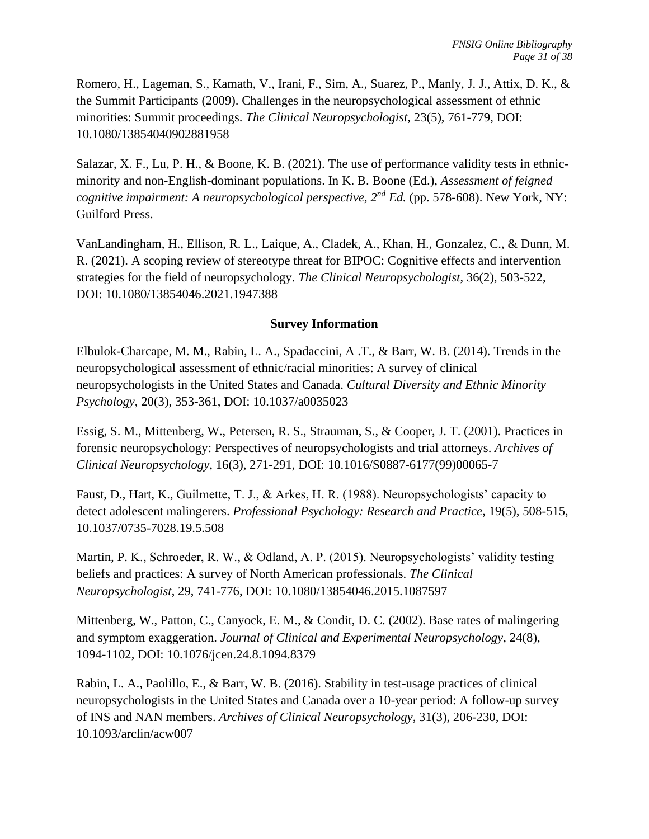Romero, H., Lageman, S., Kamath, V., Irani, F., Sim, A., Suarez, P., Manly, J. J., Attix, D. K., & the Summit Participants (2009). Challenges in the neuropsychological assessment of ethnic minorities: Summit proceedings. *The Clinical Neuropsychologist,* 23(5), 761-779, DOI: 10.1080/13854040902881958

Salazar, X. F., Lu, P. H., & Boone, K. B. (2021). The use of performance validity tests in ethnicminority and non-English-dominant populations. In K. B. Boone (Ed.), *Assessment of feigned cognitive impairment: A neuropsychological perspective, 2 nd Ed.* (pp. 578-608). New York, NY: Guilford Press.

VanLandingham, H., Ellison, R. L., Laique, A., Cladek, A., Khan, H., Gonzalez, C., & Dunn, M. R. (2021). A scoping review of stereotype threat for BIPOC: Cognitive effects and intervention strategies for the field of neuropsychology. *The Clinical Neuropsychologist*, 36(2), 503-522, DOI: 10.1080/13854046.2021.1947388

# **Survey Information**

Elbulok-Charcape, M. M., Rabin, L. A., Spadaccini, A .T., & Barr, W. B. (2014). Trends in the neuropsychological assessment of ethnic/racial minorities: A survey of clinical neuropsychologists in the United States and Canada. *Cultural Diversity and Ethnic Minority Psychology*, 20(3), 353-361, DOI: [10.1037/a0035023](https://doi.org/10.1037/a0035023)

Essig, S. M., Mittenberg, W., Petersen, R. S., Strauman, S., & Cooper, J. T. (2001). Practices in forensic neuropsychology: Perspectives of neuropsychologists and trial attorneys. *Archives of Clinical Neuropsychology*, 16(3), 271-291, DOI: [10.1016/S0887-6177\(99\)00065-7](https://psycnet.apa.org/doi/10.1016/S0887-6177(99)00065-7)

Faust, D., Hart, K., Guilmette, T. J., & Arkes, H. R. (1988). Neuropsychologists' capacity to detect adolescent malingerers. *Professional Psychology: Research and Practice*, 19(5), 508-515, [10.1037/0735-7028.19.5.508](https://psycnet.apa.org/doi/10.1037/0735-7028.19.5.508)

Martin, P. K., Schroeder, R. W., & Odland, A. P. (2015). Neuropsychologists' validity testing beliefs and practices: A survey of North American professionals. *The Clinical Neuropsychologist*, 29, 741-776, DOI: [10.1080/13854046.2015.1087597](https://psycnet.apa.org/doi/10.1080/13854046.2015.1087597)

Mittenberg, W., Patton, C., Canyock, E. M., & Condit, D. C. (2002). Base rates of malingering and symptom exaggeration. *Journal of Clinical and Experimental Neuropsychology,* 24(8), 1094-1102, DOI: 10.1076/jcen.24.8.1094.8379

Rabin, L. A., Paolillo, E., & Barr, W. B. (2016). Stability in test-usage practices of clinical neuropsychologists in the United States and Canada over a 10-year period: A follow-up survey of INS and NAN members. *Archives of Clinical Neuropsychology*, 31(3), 206-230, DOI: [10.1093/arclin/acw007](https://doi.org/10.1093/arclin/acw007)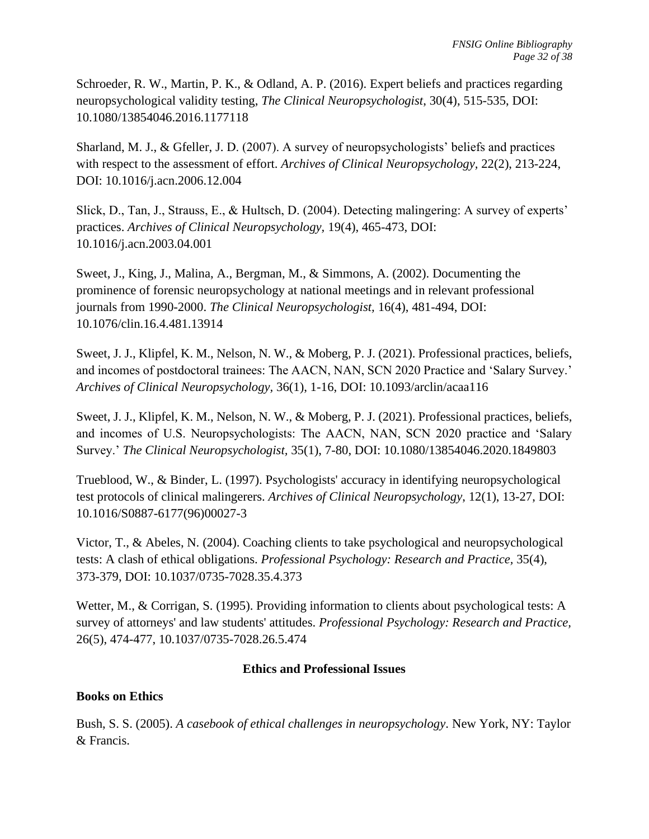Schroeder, R. W., Martin, P. K., & Odland, A. P. (2016). Expert beliefs and practices regarding neuropsychological validity testing, *The Clinical Neuropsychologist*, 30(4), 515-535, DOI: 10.1080/13854046.2016.1177118

Sharland, M. J., & Gfeller, J. D. (2007). A survey of neuropsychologists' beliefs and practices with respect to the assessment of effort. *Archives of Clinical Neuropsychology,* 22(2), 213-224, DOI: 10.1016/j.acn.2006.12.004

Slick, D., Tan, J., Strauss, E., & Hultsch, D. (2004). Detecting malingering: A survey of experts' practices. *Archives of Clinical Neuropsychology,* 19(4), 465-473, DOI: 10.1016/j.acn.2003.04.001

Sweet, J., King, J., Malina, A., Bergman, M., & Simmons, A. (2002). Documenting the prominence of forensic neuropsychology at national meetings and in relevant professional journals from 1990-2000. *The Clinical Neuropsychologist,* 16(4), 481-494, DOI: 10.1076/clin.16.4.481.13914

Sweet, J. J., Klipfel, K. M., Nelson, N. W., & Moberg, P. J. (2021). Professional practices, beliefs, and incomes of postdoctoral trainees: The AACN, NAN, SCN 2020 Practice and 'Salary Survey.' *Archives of Clinical Neuropsychology,* 36(1), 1-16, DOI: 10.1093/arclin/acaa116

Sweet, J. J., Klipfel, K. M., Nelson, N. W., & Moberg, P. J. (2021). Professional practices, beliefs, and incomes of U.S. Neuropsychologists: The AACN, NAN, SCN 2020 practice and 'Salary Survey.' *The Clinical Neuropsychologist,* 35(1), 7-80, DOI: 10.1080/13854046.2020.1849803

Trueblood, W., & Binder, L. (1997). Psychologists' accuracy in identifying neuropsychological test protocols of clinical malingerers. *Archives of Clinical Neuropsychology*, 12(1), 13-27, DOI: [10.1016/S0887-6177\(96\)00027-3](https://doi.org/10.1016/S0887-6177(96)00027-3)

Victor, T., & Abeles, N. (2004). Coaching clients to take psychological and neuropsychological tests: A clash of ethical obligations. *Professional Psychology: Research and Practice,* 35(4), 373-379, DOI: [10.1037/0735-7028.35.4.373](https://psycnet.apa.org/doi/10.1037/0735-7028.35.4.373)

Wetter, M., & Corrigan, S. (1995). Providing information to clients about psychological tests: A survey of attorneys' and law students' attitudes. *Professional Psychology: Research and Practice,*  26(5), 474-477, [10.1037/0735-7028.26.5.474](https://psycnet.apa.org/doi/10.1037/0735-7028.26.5.474)

# **Ethics and Professional Issues**

# **Books on Ethics**

Bush, S. S. (2005). *A casebook of ethical challenges in neuropsychology*. New York, NY: Taylor & Francis.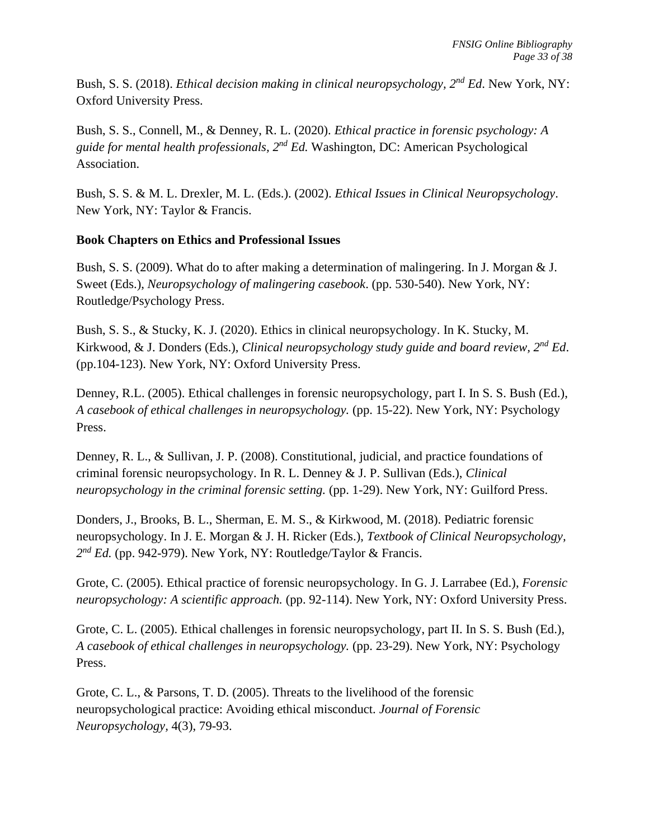Bush, S. S. (2018). *Ethical decision making in clinical neuropsychology, 2<sup>nd</sup> Ed. New York, NY*: Oxford University Press.

Bush, S. S., Connell, M., & Denney, R. L. (2020). *Ethical practice in forensic psychology: A*  guide for mental health professionals, 2<sup>nd</sup> Ed. Washington, DC: American Psychological Association.

Bush, S. S. & M. L. Drexler, M. L. (Eds.). (2002). *Ethical Issues in Clinical Neuropsychology*. New York, NY: Taylor & Francis.

# **Book Chapters on Ethics and Professional Issues**

Bush, S. S. (2009). What do to after making a determination of malingering. In J. Morgan & J. Sweet (Eds.), *Neuropsychology of malingering casebook*. (pp. 530-540). New York, NY: Routledge/Psychology Press.

Bush, S. S., & Stucky, K. J. (2020). Ethics in clinical neuropsychology. In K. Stucky, M. Kirkwood, & J. Donders (Eds.), *Clinical neuropsychology study guide and board review, 2nd Ed*. (pp.104-123). New York, NY: Oxford University Press.

Denney, R.L. (2005). Ethical challenges in forensic neuropsychology, part I. In S. S. Bush (Ed.), *A casebook of ethical challenges in neuropsychology.* (pp. 15-22). New York, NY: Psychology Press.

Denney, R. L., & Sullivan, J. P. (2008). Constitutional, judicial, and practice foundations of criminal forensic neuropsychology. In R. L. Denney & J. P. Sullivan (Eds.), *Clinical neuropsychology in the criminal forensic setting.* (pp. 1-29). New York, NY: Guilford Press.

Donders, J., Brooks, B. L., Sherman, E. M. S., & Kirkwood, M. (2018). Pediatric forensic neuropsychology. In J. E. Morgan & J. H. Ricker (Eds.), *Textbook of Clinical Neuropsychology, 2 nd Ed.* (pp. 942-979). New York, NY: Routledge/Taylor & Francis.

Grote, C. (2005). Ethical practice of forensic neuropsychology. In G. J. Larrabee (Ed.), *Forensic neuropsychology: A scientific approach.* (pp. 92-114). New York, NY: Oxford University Press.

Grote, C. L. (2005). Ethical challenges in forensic neuropsychology, part II. In S. S. Bush (Ed.), *A casebook of ethical challenges in neuropsychology.* (pp. 23-29). New York, NY: Psychology Press.

Grote, C. L., & Parsons, T. D. (2005). Threats to the livelihood of the forensic neuropsychological practice: Avoiding ethical misconduct. *Journal of Forensic Neuropsychology,* 4(3), 79-93.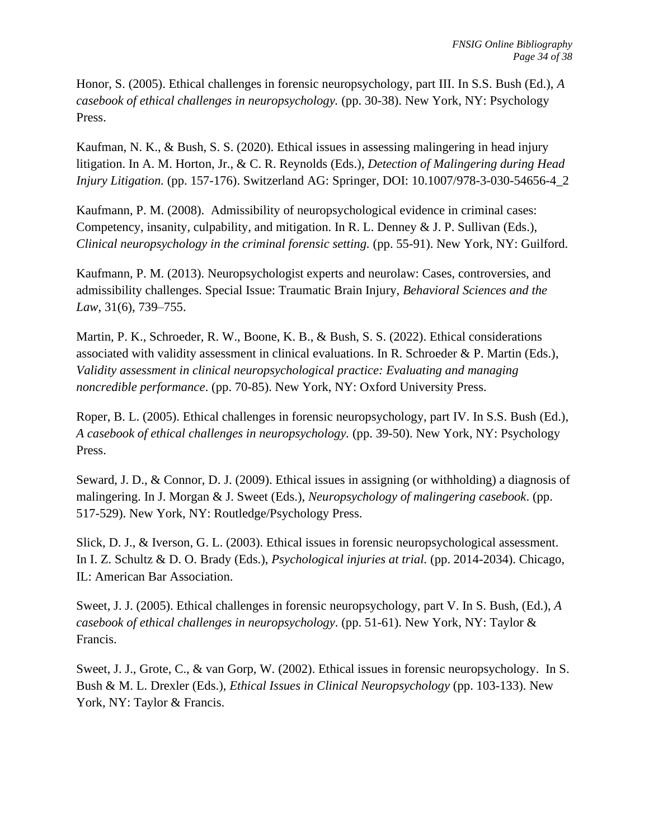Honor, S. (2005). Ethical challenges in forensic neuropsychology, part III. In S.S. Bush (Ed.), *A casebook of ethical challenges in neuropsychology.* (pp. 30-38). New York, NY: Psychology Press.

Kaufman, N. K., & Bush, S. S. (2020). Ethical issues in assessing malingering in head injury litigation. In A. M. Horton, Jr., & C. R. Reynolds (Eds.), *Detection of Malingering during Head Injury Litigation.* (pp. 157-176). Switzerland AG: Springer, DOI: 10.1007/978-3-030-54656-4\_2

Kaufmann, P. M. (2008). Admissibility of neuropsychological evidence in criminal cases: Competency, insanity, culpability, and mitigation. In R. L. Denney & J. P. Sullivan (Eds.), *Clinical neuropsychology in the criminal forensic setting.* (pp. 55-91). New York, NY: Guilford.

Kaufmann, P. M. (2013). Neuropsychologist experts and neurolaw: Cases, controversies, and admissibility challenges. Special Issue: Traumatic Brain Injury, *Behavioral Sciences and the Law*, 31(6), 739–755.

Martin, P. K., Schroeder, R. W., Boone, K. B., & Bush, S. S. (2022). Ethical considerations associated with validity assessment in clinical evaluations. In R. Schroeder & P. Martin (Eds.), *Validity assessment in clinical neuropsychological practice: Evaluating and managing noncredible performance*. (pp. 70-85). New York, NY: Oxford University Press.

Roper, B. L. (2005). Ethical challenges in forensic neuropsychology, part IV. In S.S. Bush (Ed.), *A casebook of ethical challenges in neuropsychology.* (pp. 39-50). New York, NY: Psychology Press.

Seward, J. D., & Connor, D. J. (2009). Ethical issues in assigning (or withholding) a diagnosis of malingering. In J. Morgan & J. Sweet (Eds.), *Neuropsychology of malingering casebook*. (pp. 517-529). New York, NY: Routledge/Psychology Press.

Slick, D. J., & Iverson, G. L. (2003). Ethical issues in forensic neuropsychological assessment. In I. Z. Schultz & D. O. Brady (Eds.), *Psychological injuries at trial.* (pp. 2014-2034). Chicago, IL: American Bar Association.

Sweet, J. J. (2005). Ethical challenges in forensic neuropsychology, part V. In S. Bush, (Ed.), *A casebook of ethical challenges in neuropsychology*. (pp. 51-61). New York, NY: Taylor & Francis.

Sweet, J. J., Grote, C., & van Gorp, W. (2002). Ethical issues in forensic neuropsychology. In S. Bush & M. L. Drexler (Eds.), *Ethical Issues in Clinical Neuropsychology* (pp. 103-133). New York, NY: Taylor & Francis.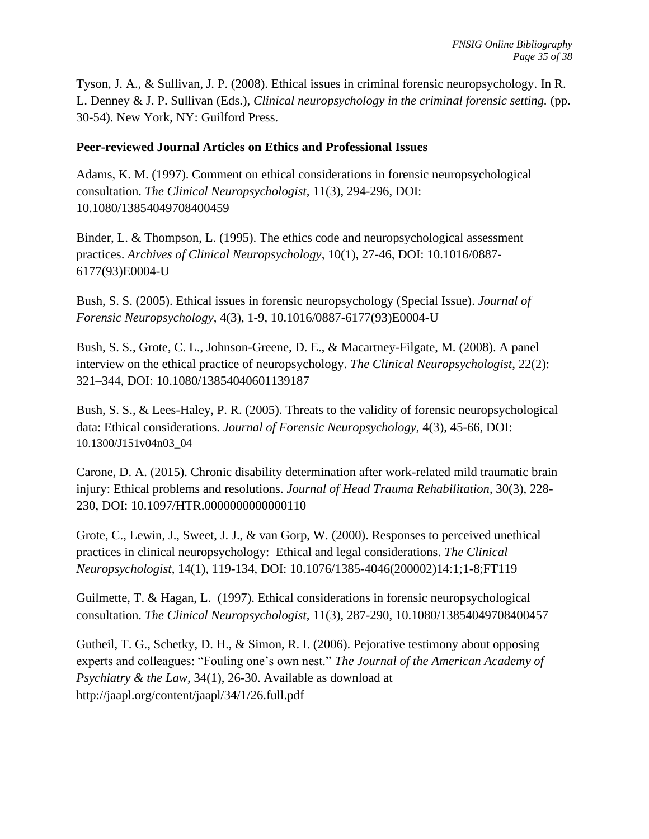Tyson, J. A., & Sullivan, J. P. (2008). Ethical issues in criminal forensic neuropsychology. In R. L. Denney & J. P. Sullivan (Eds.), *Clinical neuropsychology in the criminal forensic setting.* (pp. 30-54). New York, NY: Guilford Press.

### **Peer-reviewed Journal Articles on Ethics and Professional Issues**

Adams, K. M. (1997). Comment on ethical considerations in forensic neuropsychological consultation. *The Clinical Neuropsychologist,* 11(3), 294-296, DOI: [10.1080/13854049708400459](https://doi.org/10.1080/13854049708400459)

Binder, L. & Thompson, L. (1995). The ethics code and neuropsychological assessment practices. *Archives of Clinical Neuropsychology*, 10(1), 27-46, DOI: [10.1016/0887-](https://doi.org/10.1016/0887-6177(93)E0004-U) [6177\(93\)E0004-U](https://doi.org/10.1016/0887-6177(93)E0004-U)

Bush, S. S. (2005). Ethical issues in forensic neuropsychology (Special Issue). *Journal of Forensic Neuropsychology*, 4(3), 1-9, [10.1016/0887-6177\(93\)E0004-U](https://doi.org/10.1016/0887-6177(93)E0004-U)

Bush, S. S., Grote, C. L., Johnson-Greene, D. E., & Macartney-Filgate, M. (2008). A panel interview on the ethical practice of neuropsychology. *The Clinical Neuropsychologist*, 22(2): 321–344, DOI: [10.1080/13854040601139187](https://psycnet.apa.org/doi/10.1080/13854040601139187)

Bush, S. S., & Lees-Haley, P. R. (2005). Threats to the validity of forensic neuropsychological data: Ethical considerations. *Journal of Forensic Neuropsychology,* 4(3), 45-66, DOI: [10.1300/J151v04n03\\_04](https://psycnet.apa.org/doi/10.1300/J151v04n03_04)

Carone, D. A. (2015). Chronic disability determination after work-related mild traumatic brain injury: Ethical problems and resolutions. *Journal of Head Trauma Rehabilitation*, 30(3), 228- 230, DOI: 10.1097/HTR.0000000000000110

Grote, C., Lewin, J., Sweet, J. J., & van Gorp, W. (2000). Responses to perceived unethical practices in clinical neuropsychology: Ethical and legal considerations. *The Clinical Neuropsychologist*, 14(1), 119-134, DOI: 10.1076/1385-4046(200002)14:1;1-8;FT119

Guilmette, T. & Hagan, L. (1997). Ethical considerations in forensic neuropsychological consultation. *The Clinical Neuropsychologist,* 11(3), 287-290, [10.1080/13854049708400457](https://doi.org/10.1080/13854049708400457)

Gutheil, T. G., Schetky, D. H., & Simon, R. I. (2006). Pejorative testimony about opposing experts and colleagues: "Fouling one's own nest." *The Journal of the American Academy of Psychiatry & the Law,* 34(1), 26-30. Available as download at http://jaapl.org/content/jaapl/34/1/26.full.pdf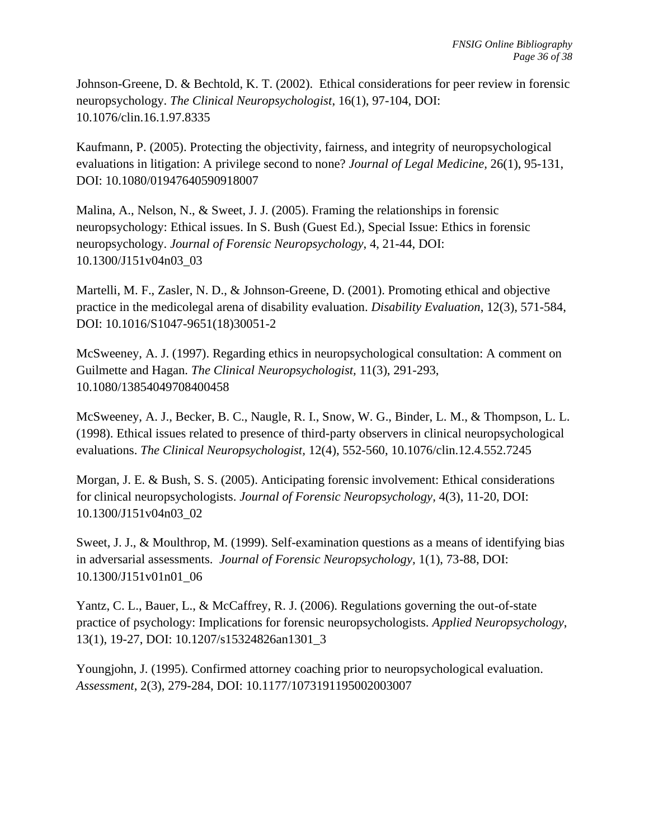Johnson-Greene, D. & Bechtold, K. T. (2002). Ethical considerations for peer review in forensic neuropsychology. *The Clinical Neuropsychologist*, 16(1), 97-104, DOI: [10.1076/clin.16.1.97.8335](https://psycnet.apa.org/doi/10.1076/clin.16.1.97.8335)

Kaufmann, P. (2005). Protecting the objectivity, fairness, and integrity of neuropsychological evaluations in litigation: A privilege second to none? *Journal of Legal Medicine,* 26(1), 95-131, DOI: [10.1080/01947640590918007](https://doi.org/10.1080/01947640590918007)

Malina, A., Nelson, N., & Sweet, J. J. (2005). Framing the relationships in forensic neuropsychology: Ethical issues. In S. Bush (Guest Ed.), Special Issue: Ethics in forensic neuropsychology. *Journal of Forensic Neuropsychology*, 4, 21-44, DOI: [10.1300/J151v04n03\\_03](http://dx.doi.org/10.1300/J151v04n03_03)

Martelli, M. F., Zasler, N. D., & Johnson-Greene, D. (2001). Promoting ethical and objective practice in the medicolegal arena of disability evaluation. *Disability Evaluation*, 12(3), 571-584, DOI: [10.1016/S1047-9651\(18\)30051-2](https://doi.org/10.1016/S1047-9651(18)30051-2)

McSweeney, A. J. (1997). Regarding ethics in neuropsychological consultation: A comment on Guilmette and Hagan. *The Clinical Neuropsychologist,* 11(3), 291-293, [10.1080/13854049708400458](https://doi.org/10.1080/13854049708400458)

McSweeney, A. J., Becker, B. C., Naugle, R. I., Snow, W. G., Binder, L. M., & Thompson, L. L. (1998). Ethical issues related to presence of third-party observers in clinical neuropsychological evaluations. *The Clinical Neuropsychologist,* 12(4), 552-560, [10.1076/clin.12.4.552.7245](https://doi.org/10.1076/clin.12.4.552.7245)

Morgan, J. E. & Bush, S. S. (2005). Anticipating forensic involvement: Ethical considerations for clinical neuropsychologists. *Journal of Forensic Neuropsychology,* 4(3), 11-20, DOI: [10.1300/J151v04n03\\_02](https://psycnet.apa.org/doi/10.1300/J151v04n03_02)

Sweet, J. J., & Moulthrop, M. (1999). Self-examination questions as a means of identifying bias in adversarial assessments. *Journal of Forensic Neuropsychology,* 1(1), 73-88, DOI: [10.1300/J151v01n01\\_06](https://doi.org/10.1300/J151v01n01_06)

Yantz, C. L., Bauer, L., & McCaffrey, R. J. (2006). Regulations governing the out-of-state practice of psychology: Implications for forensic neuropsychologists. *Applied Neuropsychology*, 13(1), 19-27, DOI: 10.1207/s15324826an1301\_3

Youngjohn, J. (1995). Confirmed attorney coaching prior to neuropsychological evaluation. *Assessment*, 2(3), 279-284, DOI: [10.1177/1073191195002003007](https://doi.org/10.1177%2F1073191195002003007)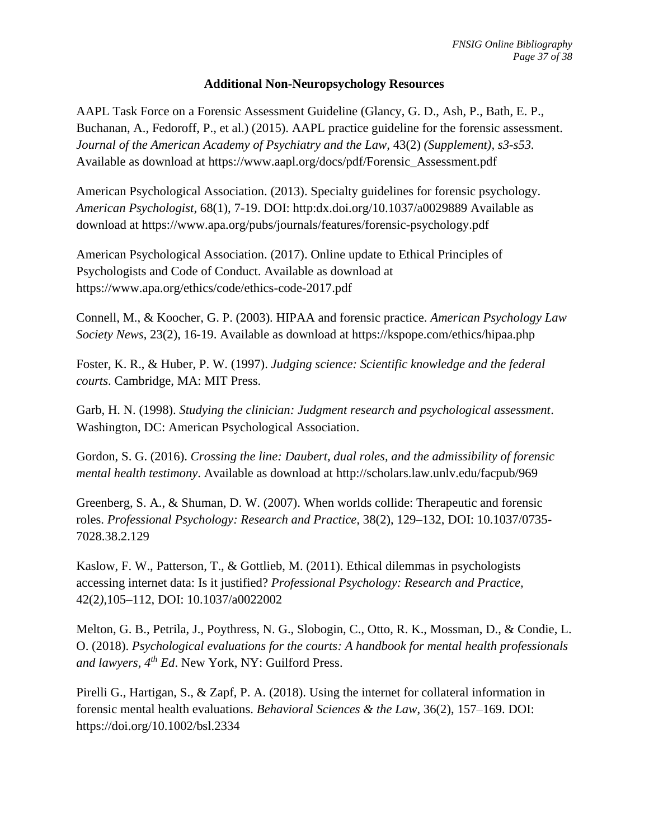### **Additional Non-Neuropsychology Resources**

AAPL Task Force on a Forensic Assessment Guideline (Glancy, G. D., Ash, P., Bath, E. P., Buchanan, A., Fedoroff, P., et al.) (2015). AAPL practice guideline for the forensic assessment. *Journal of the American Academy of Psychiatry and the Law,* 43(2) *(Supplement), s3-s53.* Available as download at https://www.aapl.org/docs/pdf/Forensic\_Assessment.pdf

American Psychological Association. (2013). Specialty guidelines for forensic psychology. *American Psychologist,* 68(1), 7-19. DOI: http:dx.doi.org/10.1037/a0029889 Available as download at<https://www.apa.org/pubs/journals/features/forensic-psychology.pdf>

American Psychological Association. (2017). Online update to Ethical Principles of Psychologists and Code of Conduct. Available as download at <https://www.apa.org/ethics/code/ethics-code-2017.pdf>

Connell, M., & Koocher, G. P. (2003). HIPAA and forensic practice. *American Psychology Law Society News*, 23(2), 16-19. Available as download at https://kspope.com/ethics/hipaa.php

Foster, K. R., & Huber, P. W. (1997). *Judging science: Scientific knowledge and the federal courts*. Cambridge, MA: MIT Press.

Garb, H. N. (1998). *Studying the clinician: Judgment research and psychological assessment*. Washington, DC: American Psychological Association.

Gordon, S. G. (2016). *Crossing the line: Daubert, dual roles, and the admissibility of forensic mental health testimony*. Available as download at http://scholars.law.unlv.edu/facpub/969

Greenberg, S. A., & Shuman, D. W. (2007). When worlds collide: Therapeutic and forensic roles. *Professional Psychology: Research and Practice,* 38(2), 129–132, DOI: 10.1037/0735- 7028.38.2.129

Kaslow, F. W., Patterson, T., & Gottlieb, M. (2011). Ethical dilemmas in psychologists accessing internet data: Is it justified? *Professional Psychology: Research and Practice,*  42(2*)*,105–112, DOI: 10.1037/a0022002

Melton, G. B., Petrila, J., Poythress, N. G., Slobogin, C., Otto, R. K., Mossman, D., & Condie, L. O. (2018). *Psychological evaluations for the courts: A handbook for mental health professionals and lawyers, 4th Ed*. New York, NY: Guilford Press.

Pirelli G., Hartigan, S., & Zapf, P. A. (2018). Using the internet for collateral information in forensic mental health evaluations. *Behavioral Sciences & the Law*, 36(2), 157–169. DOI: https://doi.org/10.1002/bsl.2334